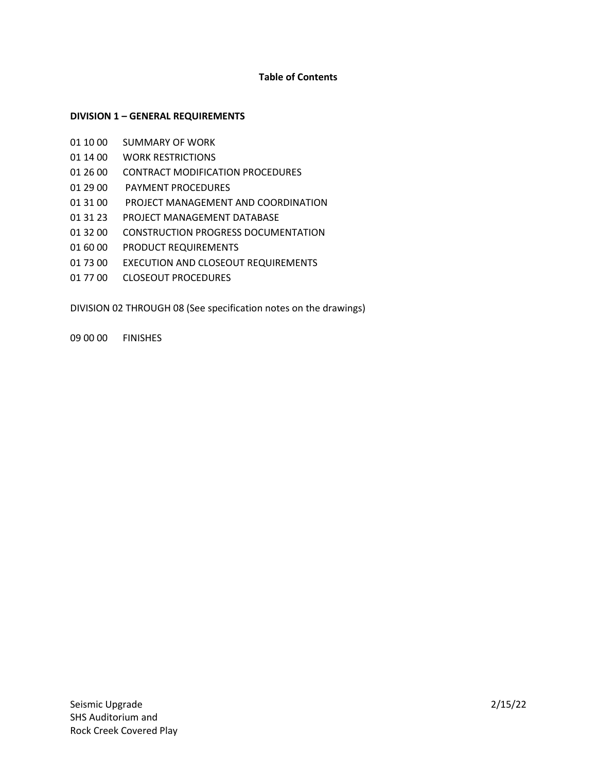# **Table of Contents**

### **DIVISION 1 – GENERAL REQUIREMENTS**

- 01 10 00 SUMMARY OF WORK
- 01 14 00 WORK RESTRICTIONS
- 01 26 00 CONTRACT MODIFICATION PROCEDURES
- 01 29 00 PAYMENT PROCEDURES
- 01 31 00 PROJECT MANAGEMENT AND COORDINATION
- 01 31 23 PROJECT MANAGEMENT DATABASE
- 01 32 00 CONSTRUCTION PROGRESS DOCUMENTATION
- 01 60 00 PRODUCT REQUIREMENTS
- 01 73 00 EXECUTION AND CLOSEOUT REQUIREMENTS
- 01 77 00 CLOSEOUT PROCEDURES

DIVISION 02 THROUGH 08 (See specification notes on the drawings)

09 00 00 FINISHES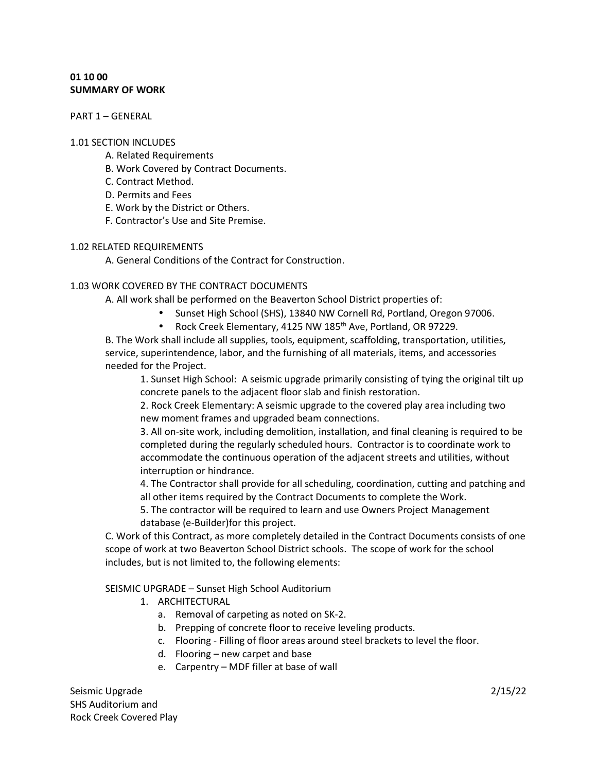# **01 10 00 SUMMARY OF WORK**

PART 1 – GENERAL

#### 1.01 SECTION INCLUDES

- A. Related Requirements
- B. Work Covered by Contract Documents.
- C. Contract Method.
- D. Permits and Fees
- E. Work by the District or Others.
- F. Contractor's Use and Site Premise.

#### 1.02 RELATED REQUIREMENTS

A. General Conditions of the Contract for Construction.

# 1.03 WORK COVERED BY THE CONTRACT DOCUMENTS

A. All work shall be performed on the Beaverton School District properties of:

- Sunset High School (SHS), 13840 NW Cornell Rd, Portland, Oregon 97006.
- Rock Creek Elementary, 4125 NW 185<sup>th</sup> Ave, Portland, OR 97229.

B. The Work shall include all supplies, tools, equipment, scaffolding, transportation, utilities, service, superintendence, labor, and the furnishing of all materials, items, and accessories needed for the Project.

1. Sunset High School: A seismic upgrade primarily consisting of tying the original tilt up concrete panels to the adjacent floor slab and finish restoration.

2. Rock Creek Elementary: A seismic upgrade to the covered play area including two new moment frames and upgraded beam connections.

3. All on-site work, including demolition, installation, and final cleaning is required to be completed during the regularly scheduled hours. Contractor is to coordinate work to accommodate the continuous operation of the adjacent streets and utilities, without interruption or hindrance.

4. The Contractor shall provide for all scheduling, coordination, cutting and patching and all other items required by the Contract Documents to complete the Work.

5. The contractor will be required to learn and use Owners Project Management database (e-Builder)for this project.

C. Work of this Contract, as more completely detailed in the Contract Documents consists of one scope of work at two Beaverton School District schools. The scope of work for the school includes, but is not limited to, the following elements:

### SEISMIC UPGRADE – Sunset High School Auditorium

- 1. ARCHITECTURAL
	- a. Removal of carpeting as noted on SK-2.
	- b. Prepping of concrete floor to receive leveling products.
	- c. Flooring Filling of floor areas around steel brackets to level the floor.
	- d. Flooring new carpet and base
	- e. Carpentry MDF filler at base of wall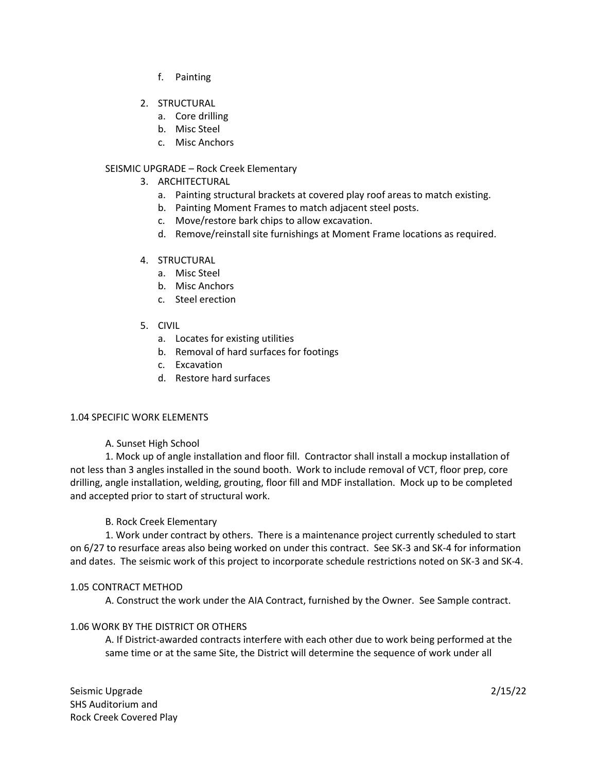- f. Painting
- 2. STRUCTURAL
	- a. Core drilling
	- b. Misc Steel
	- c. Misc Anchors

# SEISMIC UPGRADE – Rock Creek Elementary

- 3. ARCHITECTURAL
	- a. Painting structural brackets at covered play roof areas to match existing.
	- b. Painting Moment Frames to match adjacent steel posts.
	- c. Move/restore bark chips to allow excavation.
	- d. Remove/reinstall site furnishings at Moment Frame locations as required.
- 4. STRUCTURAL
	- a. Misc Steel
	- b. Misc Anchors
	- c. Steel erection
- 5. CIVIL
	- a. Locates for existing utilities
	- b. Removal of hard surfaces for footings
	- c. Excavation
	- d. Restore hard surfaces

# 1.04 SPECIFIC WORK ELEMENTS

# A. Sunset High School

 1. Mock up of angle installation and floor fill. Contractor shall install a mockup installation of not less than 3 angles installed in the sound booth. Work to include removal of VCT, floor prep, core drilling, angle installation, welding, grouting, floor fill and MDF installation. Mock up to be completed and accepted prior to start of structural work.

# B. Rock Creek Elementary

 1. Work under contract by others. There is a maintenance project currently scheduled to start on 6/27 to resurface areas also being worked on under this contract. See SK-3 and SK-4 for information and dates. The seismic work of this project to incorporate schedule restrictions noted on SK-3 and SK-4.

# 1.05 CONTRACT METHOD

A. Construct the work under the AIA Contract, furnished by the Owner. See Sample contract.

# 1.06 WORK BY THE DISTRICT OR OTHERS

A. If District-awarded contracts interfere with each other due to work being performed at the same time or at the same Site, the District will determine the sequence of work under all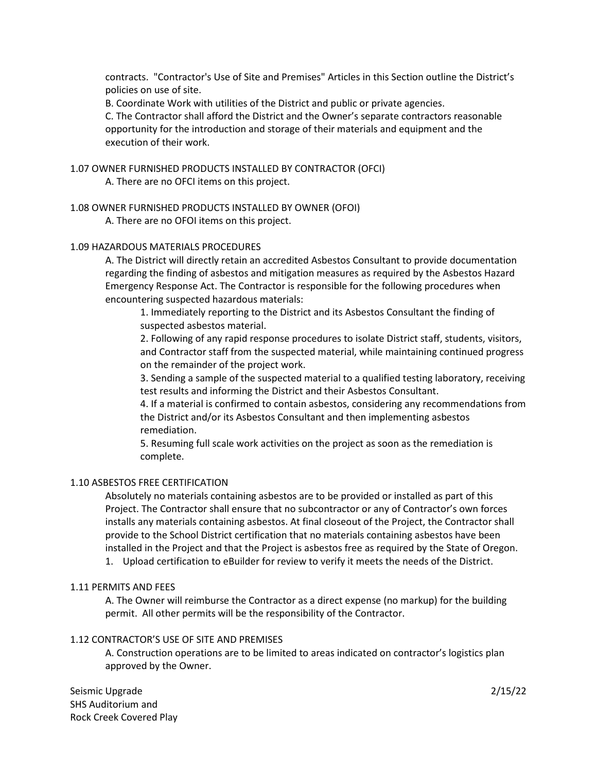contracts. "Contractor's Use of Site and Premises" Articles in this Section outline the District's policies on use of site.

B. Coordinate Work with utilities of the District and public or private agencies.

C. The Contractor shall afford the District and the Owner's separate contractors reasonable opportunity for the introduction and storage of their materials and equipment and the execution of their work.

# 1.07 OWNER FURNISHED PRODUCTS INSTALLED BY CONTRACTOR (OFCI) A. There are no OFCI items on this project.

# 1.08 OWNER FURNISHED PRODUCTS INSTALLED BY OWNER (OFOI)

A. There are no OFOI items on this project.

# 1.09 HAZARDOUS MATERIALS PROCEDURES

A. The District will directly retain an accredited Asbestos Consultant to provide documentation regarding the finding of asbestos and mitigation measures as required by the Asbestos Hazard Emergency Response Act. The Contractor is responsible for the following procedures when encountering suspected hazardous materials:

1. Immediately reporting to the District and its Asbestos Consultant the finding of suspected asbestos material.

2. Following of any rapid response procedures to isolate District staff, students, visitors, and Contractor staff from the suspected material, while maintaining continued progress on the remainder of the project work.

3. Sending a sample of the suspected material to a qualified testing laboratory, receiving test results and informing the District and their Asbestos Consultant.

4. If a material is confirmed to contain asbestos, considering any recommendations from the District and/or its Asbestos Consultant and then implementing asbestos remediation.

5. Resuming full scale work activities on the project as soon as the remediation is complete.

# 1.10 ASBESTOS FREE CERTIFICATION

Absolutely no materials containing asbestos are to be provided or installed as part of this Project. The Contractor shall ensure that no subcontractor or any of Contractor's own forces installs any materials containing asbestos. At final closeout of the Project, the Contractor shall provide to the School District certification that no materials containing asbestos have been installed in the Project and that the Project is asbestos free as required by the State of Oregon.

1. Upload certification to eBuilder for review to verify it meets the needs of the District.

# 1.11 PERMITS AND FEES

A. The Owner will reimburse the Contractor as a direct expense (no markup) for the building permit. All other permits will be the responsibility of the Contractor.

# 1.12 CONTRACTOR'S USE OF SITE AND PREMISES

A. Construction operations are to be limited to areas indicated on contractor's logistics plan approved by the Owner.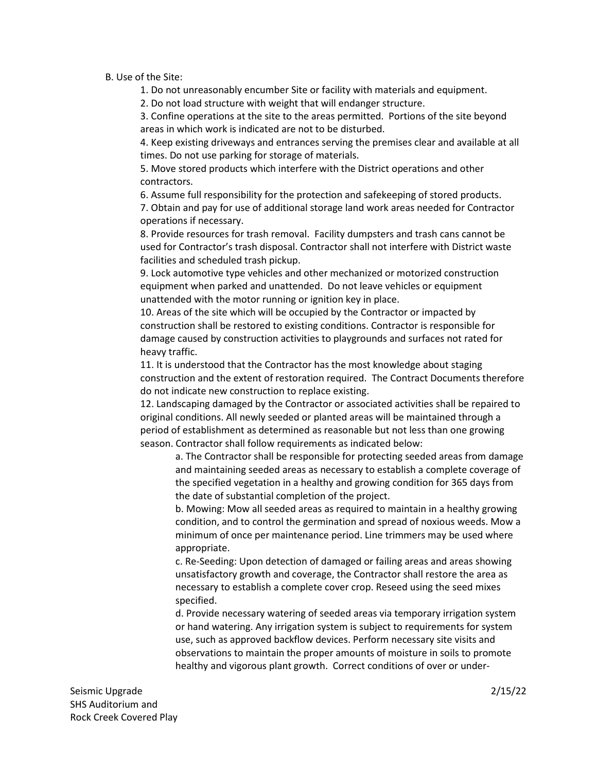### B. Use of the Site:

1. Do not unreasonably encumber Site or facility with materials and equipment.

2. Do not load structure with weight that will endanger structure.

3. Confine operations at the site to the areas permitted. Portions of the site beyond areas in which work is indicated are not to be disturbed.

4. Keep existing driveways and entrances serving the premises clear and available at all times. Do not use parking for storage of materials.

5. Move stored products which interfere with the District operations and other contractors.

6. Assume full responsibility for the protection and safekeeping of stored products.

7. Obtain and pay for use of additional storage land work areas needed for Contractor operations if necessary.

8. Provide resources for trash removal. Facility dumpsters and trash cans cannot be used for Contractor's trash disposal. Contractor shall not interfere with District waste facilities and scheduled trash pickup.

9. Lock automotive type vehicles and other mechanized or motorized construction equipment when parked and unattended. Do not leave vehicles or equipment unattended with the motor running or ignition key in place.

10. Areas of the site which will be occupied by the Contractor or impacted by construction shall be restored to existing conditions. Contractor is responsible for damage caused by construction activities to playgrounds and surfaces not rated for heavy traffic.

11. It is understood that the Contractor has the most knowledge about staging construction and the extent of restoration required. The Contract Documents therefore do not indicate new construction to replace existing.

12. Landscaping damaged by the Contractor or associated activities shall be repaired to original conditions. All newly seeded or planted areas will be maintained through a period of establishment as determined as reasonable but not less than one growing season. Contractor shall follow requirements as indicated below:

a. The Contractor shall be responsible for protecting seeded areas from damage and maintaining seeded areas as necessary to establish a complete coverage of the specified vegetation in a healthy and growing condition for 365 days from the date of substantial completion of the project.

b. Mowing: Mow all seeded areas as required to maintain in a healthy growing condition, and to control the germination and spread of noxious weeds. Mow a minimum of once per maintenance period. Line trimmers may be used where appropriate.

c. Re-Seeding: Upon detection of damaged or failing areas and areas showing unsatisfactory growth and coverage, the Contractor shall restore the area as necessary to establish a complete cover crop. Reseed using the seed mixes specified.

d. Provide necessary watering of seeded areas via temporary irrigation system or hand watering. Any irrigation system is subject to requirements for system use, such as approved backflow devices. Perform necessary site visits and observations to maintain the proper amounts of moisture in soils to promote healthy and vigorous plant growth. Correct conditions of over or under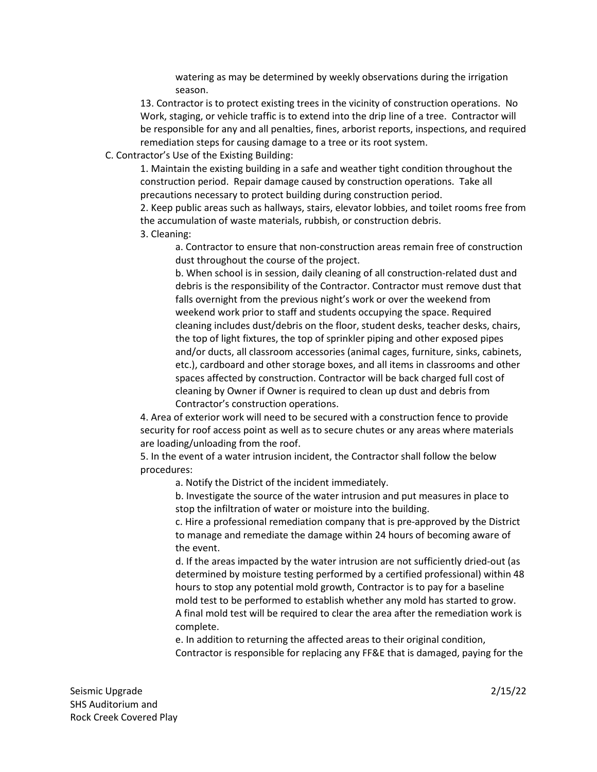watering as may be determined by weekly observations during the irrigation season.

13. Contractor is to protect existing trees in the vicinity of construction operations. No Work, staging, or vehicle traffic is to extend into the drip line of a tree. Contractor will be responsible for any and all penalties, fines, arborist reports, inspections, and required remediation steps for causing damage to a tree or its root system.

C. Contractor's Use of the Existing Building:

1. Maintain the existing building in a safe and weather tight condition throughout the construction period. Repair damage caused by construction operations. Take all precautions necessary to protect building during construction period.

2. Keep public areas such as hallways, stairs, elevator lobbies, and toilet rooms free from the accumulation of waste materials, rubbish, or construction debris.

3. Cleaning:

a. Contractor to ensure that non-construction areas remain free of construction dust throughout the course of the project.

b. When school is in session, daily cleaning of all construction-related dust and debris is the responsibility of the Contractor. Contractor must remove dust that falls overnight from the previous night's work or over the weekend from weekend work prior to staff and students occupying the space. Required cleaning includes dust/debris on the floor, student desks, teacher desks, chairs, the top of light fixtures, the top of sprinkler piping and other exposed pipes and/or ducts, all classroom accessories (animal cages, furniture, sinks, cabinets, etc.), cardboard and other storage boxes, and all items in classrooms and other spaces affected by construction. Contractor will be back charged full cost of cleaning by Owner if Owner is required to clean up dust and debris from Contractor's construction operations.

4. Area of exterior work will need to be secured with a construction fence to provide security for roof access point as well as to secure chutes or any areas where materials are loading/unloading from the roof.

5. In the event of a water intrusion incident, the Contractor shall follow the below procedures:

a. Notify the District of the incident immediately.

b. Investigate the source of the water intrusion and put measures in place to stop the infiltration of water or moisture into the building.

c. Hire a professional remediation company that is pre-approved by the District to manage and remediate the damage within 24 hours of becoming aware of the event.

d. If the areas impacted by the water intrusion are not sufficiently dried-out (as determined by moisture testing performed by a certified professional) within 48 hours to stop any potential mold growth, Contractor is to pay for a baseline mold test to be performed to establish whether any mold has started to grow. A final mold test will be required to clear the area after the remediation work is complete.

e. In addition to returning the affected areas to their original condition, Contractor is responsible for replacing any FF&E that is damaged, paying for the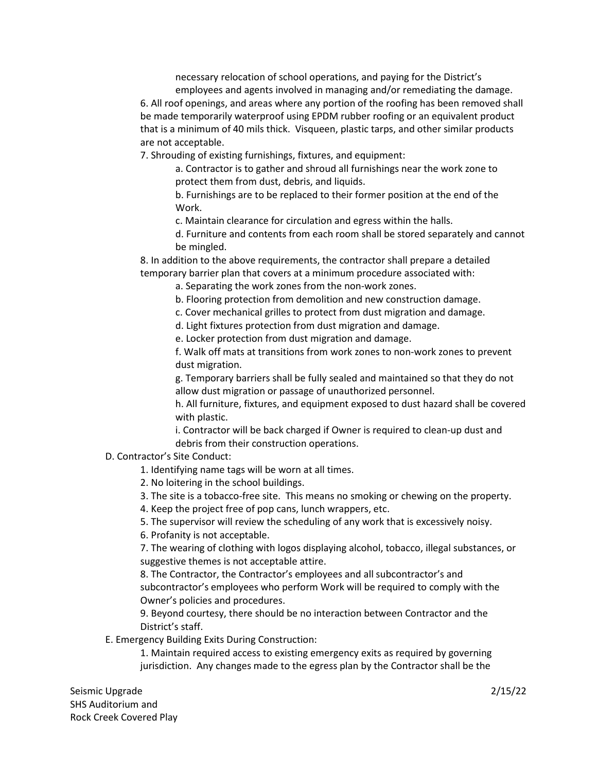necessary relocation of school operations, and paying for the District's employees and agents involved in managing and/or remediating the damage.

6. All roof openings, and areas where any portion of the roofing has been removed shall be made temporarily waterproof using EPDM rubber roofing or an equivalent product that is a minimum of 40 mils thick. Visqueen, plastic tarps, and other similar products are not acceptable.

7. Shrouding of existing furnishings, fixtures, and equipment:

a. Contractor is to gather and shroud all furnishings near the work zone to protect them from dust, debris, and liquids.

b. Furnishings are to be replaced to their former position at the end of the Work.

c. Maintain clearance for circulation and egress within the halls.

d. Furniture and contents from each room shall be stored separately and cannot be mingled.

8. In addition to the above requirements, the contractor shall prepare a detailed temporary barrier plan that covers at a minimum procedure associated with:

a. Separating the work zones from the non-work zones.

b. Flooring protection from demolition and new construction damage.

c. Cover mechanical grilles to protect from dust migration and damage.

d. Light fixtures protection from dust migration and damage.

e. Locker protection from dust migration and damage.

f. Walk off mats at transitions from work zones to non-work zones to prevent dust migration.

g. Temporary barriers shall be fully sealed and maintained so that they do not allow dust migration or passage of unauthorized personnel.

h. All furniture, fixtures, and equipment exposed to dust hazard shall be covered with plastic.

i. Contractor will be back charged if Owner is required to clean-up dust and debris from their construction operations.

D. Contractor's Site Conduct:

1. Identifying name tags will be worn at all times.

2. No loitering in the school buildings.

3. The site is a tobacco-free site. This means no smoking or chewing on the property.

4. Keep the project free of pop cans, lunch wrappers, etc.

5. The supervisor will review the scheduling of any work that is excessively noisy.

6. Profanity is not acceptable.

7. The wearing of clothing with logos displaying alcohol, tobacco, illegal substances, or suggestive themes is not acceptable attire.

8. The Contractor, the Contractor's employees and all subcontractor's and subcontractor's employees who perform Work will be required to comply with the Owner's policies and procedures.

9. Beyond courtesy, there should be no interaction between Contractor and the District's staff.

E. Emergency Building Exits During Construction:

1. Maintain required access to existing emergency exits as required by governing jurisdiction. Any changes made to the egress plan by the Contractor shall be the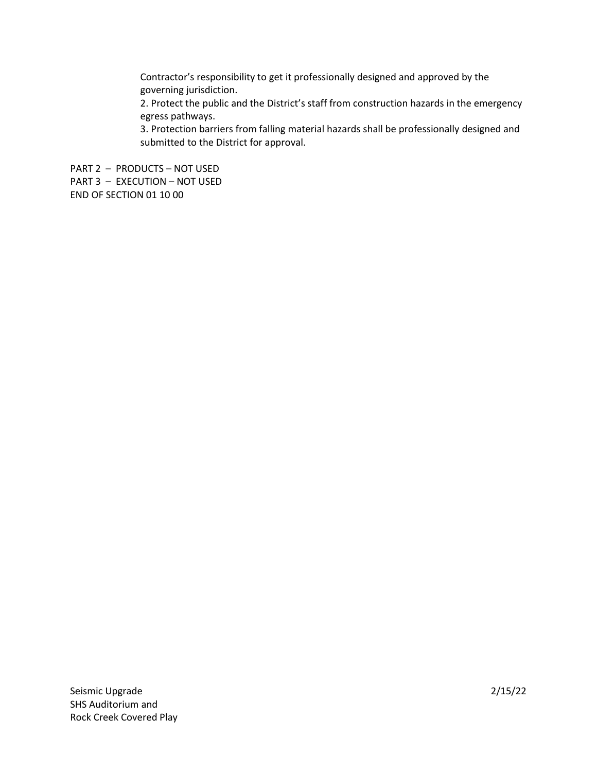Contractor's responsibility to get it professionally designed and approved by the governing jurisdiction.

2. Protect the public and the District's staff from construction hazards in the emergency egress pathways.

3. Protection barriers from falling material hazards shall be professionally designed and submitted to the District for approval.

PART 2 – PRODUCTS – NOT USED PART 3 – EXECUTION – NOT USED END OF SECTION 01 10 00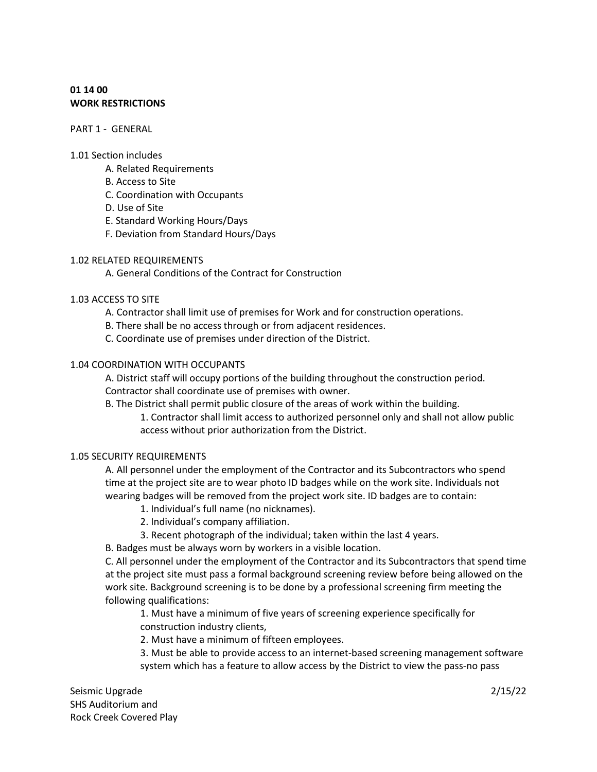# **01 14 00 WORK RESTRICTIONS**

### PART 1 - GENERAL

### 1.01 Section includes

- A. Related Requirements
- B. Access to Site
- C. Coordination with Occupants
- D. Use of Site
- E. Standard Working Hours/Days
- F. Deviation from Standard Hours/Days

# 1.02 RELATED REQUIREMENTS

A. General Conditions of the Contract for Construction

# 1.03 ACCESS TO SITE

- A. Contractor shall limit use of premises for Work and for construction operations.
- B. There shall be no access through or from adjacent residences.
- C. Coordinate use of premises under direction of the District.

# 1.04 COORDINATION WITH OCCUPANTS

A. District staff will occupy portions of the building throughout the construction period. Contractor shall coordinate use of premises with owner.

B. The District shall permit public closure of the areas of work within the building. 1. Contractor shall limit access to authorized personnel only and shall not allow public access without prior authorization from the District.

# 1.05 SECURITY REQUIREMENTS

A. All personnel under the employment of the Contractor and its Subcontractors who spend time at the project site are to wear photo ID badges while on the work site. Individuals not wearing badges will be removed from the project work site. ID badges are to contain:

- 1. Individual's full name (no nicknames).
- 2. Individual's company affiliation.
- 3. Recent photograph of the individual; taken within the last 4 years.
- B. Badges must be always worn by workers in a visible location.

C. All personnel under the employment of the Contractor and its Subcontractors that spend time at the project site must pass a formal background screening review before being allowed on the work site. Background screening is to be done by a professional screening firm meeting the following qualifications:

1. Must have a minimum of five years of screening experience specifically for construction industry clients,

2. Must have a minimum of fifteen employees.

3. Must be able to provide access to an internet-based screening management software system which has a feature to allow access by the District to view the pass-no pass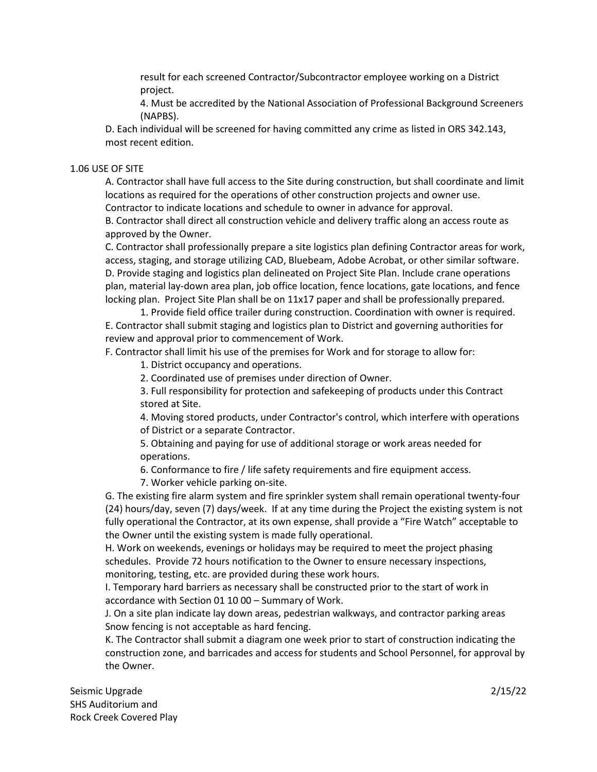result for each screened Contractor/Subcontractor employee working on a District project.

4. Must be accredited by the National Association of Professional Background Screeners (NAPBS).

D. Each individual will be screened for having committed any crime as listed in ORS 342.143, most recent edition.

### 1.06 USE OF SITE

A. Contractor shall have full access to the Site during construction, but shall coordinate and limit locations as required for the operations of other construction projects and owner use. Contractor to indicate locations and schedule to owner in advance for approval.

B. Contractor shall direct all construction vehicle and delivery traffic along an access route as approved by the Owner.

C. Contractor shall professionally prepare a site logistics plan defining Contractor areas for work, access, staging, and storage utilizing CAD, Bluebeam, Adobe Acrobat, or other similar software. D. Provide staging and logistics plan delineated on Project Site Plan. Include crane operations plan, material lay-down area plan, job office location, fence locations, gate locations, and fence locking plan. Project Site Plan shall be on 11x17 paper and shall be professionally prepared.

1. Provide field office trailer during construction. Coordination with owner is required. E. Contractor shall submit staging and logistics plan to District and governing authorities for review and approval prior to commencement of Work.

F. Contractor shall limit his use of the premises for Work and for storage to allow for:

1. District occupancy and operations.

2. Coordinated use of premises under direction of Owner.

3. Full responsibility for protection and safekeeping of products under this Contract stored at Site.

4. Moving stored products, under Contractor's control, which interfere with operations of District or a separate Contractor.

5. Obtaining and paying for use of additional storage or work areas needed for operations.

6. Conformance to fire / life safety requirements and fire equipment access.

7. Worker vehicle parking on-site.

G. The existing fire alarm system and fire sprinkler system shall remain operational twenty-four (24) hours/day, seven (7) days/week. If at any time during the Project the existing system is not fully operational the Contractor, at its own expense, shall provide a "Fire Watch" acceptable to the Owner until the existing system is made fully operational.

H. Work on weekends, evenings or holidays may be required to meet the project phasing schedules. Provide 72 hours notification to the Owner to ensure necessary inspections, monitoring, testing, etc. are provided during these work hours.

I. Temporary hard barriers as necessary shall be constructed prior to the start of work in accordance with Section 01 10 00 – Summary of Work.

J. On a site plan indicate lay down areas, pedestrian walkways, and contractor parking areas Snow fencing is not acceptable as hard fencing.

K. The Contractor shall submit a diagram one week prior to start of construction indicating the construction zone, and barricades and access for students and School Personnel, for approval by the Owner.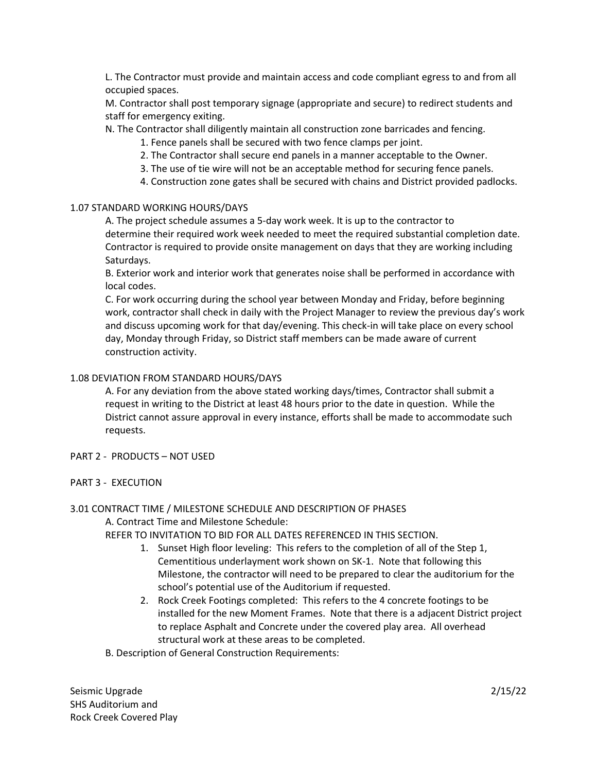L. The Contractor must provide and maintain access and code compliant egress to and from all occupied spaces.

M. Contractor shall post temporary signage (appropriate and secure) to redirect students and staff for emergency exiting.

N. The Contractor shall diligently maintain all construction zone barricades and fencing.

1. Fence panels shall be secured with two fence clamps per joint.

- 2. The Contractor shall secure end panels in a manner acceptable to the Owner.
- 3. The use of tie wire will not be an acceptable method for securing fence panels.
- 4. Construction zone gates shall be secured with chains and District provided padlocks.

# 1.07 STANDARD WORKING HOURS/DAYS

A. The project schedule assumes a 5-day work week. It is up to the contractor to determine their required work week needed to meet the required substantial completion date. Contractor is required to provide onsite management on days that they are working including Saturdays.

B. Exterior work and interior work that generates noise shall be performed in accordance with local codes.

C. For work occurring during the school year between Monday and Friday, before beginning work, contractor shall check in daily with the Project Manager to review the previous day's work and discuss upcoming work for that day/evening. This check-in will take place on every school day, Monday through Friday, so District staff members can be made aware of current construction activity.

# 1.08 DEVIATION FROM STANDARD HOURS/DAYS

A. For any deviation from the above stated working days/times, Contractor shall submit a request in writing to the District at least 48 hours prior to the date in question. While the District cannot assure approval in every instance, efforts shall be made to accommodate such requests.

- PART 2 PRODUCTS NOT USED
- PART 3 EXECUTION

# 3.01 CONTRACT TIME / MILESTONE SCHEDULE AND DESCRIPTION OF PHASES

A. Contract Time and Milestone Schedule:

REFER TO INVITATION TO BID FOR ALL DATES REFERENCED IN THIS SECTION.

- 1. Sunset High floor leveling: This refers to the completion of all of the Step 1, Cementitious underlayment work shown on SK-1. Note that following this Milestone, the contractor will need to be prepared to clear the auditorium for the school's potential use of the Auditorium if requested.
- 2. Rock Creek Footings completed: This refers to the 4 concrete footings to be installed for the new Moment Frames. Note that there is a adjacent District project to replace Asphalt and Concrete under the covered play area. All overhead structural work at these areas to be completed.
- B. Description of General Construction Requirements: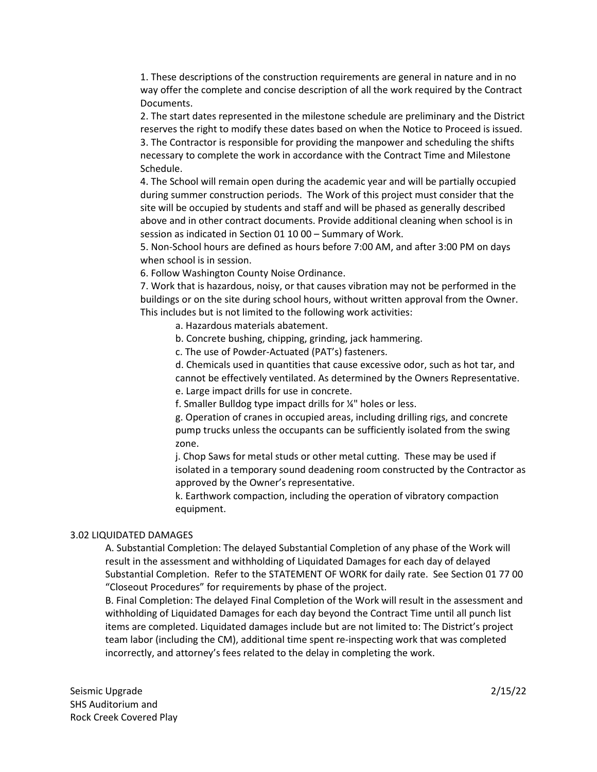1. These descriptions of the construction requirements are general in nature and in no way offer the complete and concise description of all the work required by the Contract Documents.

2. The start dates represented in the milestone schedule are preliminary and the District reserves the right to modify these dates based on when the Notice to Proceed is issued. 3. The Contractor is responsible for providing the manpower and scheduling the shifts necessary to complete the work in accordance with the Contract Time and Milestone Schedule.

4. The School will remain open during the academic year and will be partially occupied during summer construction periods. The Work of this project must consider that the site will be occupied by students and staff and will be phased as generally described above and in other contract documents. Provide additional cleaning when school is in session as indicated in Section 01 10 00 – Summary of Work.

5. Non-School hours are defined as hours before 7:00 AM, and after 3:00 PM on days when school is in session.

6. Follow Washington County Noise Ordinance.

7. Work that is hazardous, noisy, or that causes vibration may not be performed in the buildings or on the site during school hours, without written approval from the Owner. This includes but is not limited to the following work activities:

a. Hazardous materials abatement.

b. Concrete bushing, chipping, grinding, jack hammering.

c. The use of Powder-Actuated (PAT's) fasteners.

d. Chemicals used in quantities that cause excessive odor, such as hot tar, and cannot be effectively ventilated. As determined by the Owners Representative.

e. Large impact drills for use in concrete.

f. Smaller Bulldog type impact drills for ¼" holes or less.

g. Operation of cranes in occupied areas, including drilling rigs, and concrete pump trucks unless the occupants can be sufficiently isolated from the swing zone.

j. Chop Saws for metal studs or other metal cutting. These may be used if isolated in a temporary sound deadening room constructed by the Contractor as approved by the Owner's representative.

k. Earthwork compaction, including the operation of vibratory compaction equipment.

#### 3.02 LIQUIDATED DAMAGES

A. Substantial Completion: The delayed Substantial Completion of any phase of the Work will result in the assessment and withholding of Liquidated Damages for each day of delayed Substantial Completion. Refer to the STATEMENT OF WORK for daily rate. See Section 01 77 00 "Closeout Procedures" for requirements by phase of the project.

B. Final Completion: The delayed Final Completion of the Work will result in the assessment and withholding of Liquidated Damages for each day beyond the Contract Time until all punch list items are completed. Liquidated damages include but are not limited to: The District's project team labor (including the CM), additional time spent re-inspecting work that was completed incorrectly, and attorney's fees related to the delay in completing the work.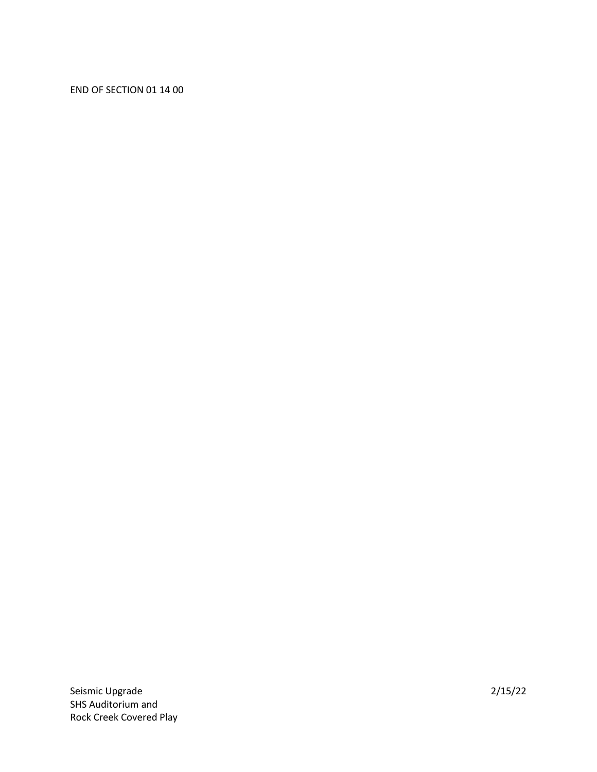# END OF SECTION 01 14 00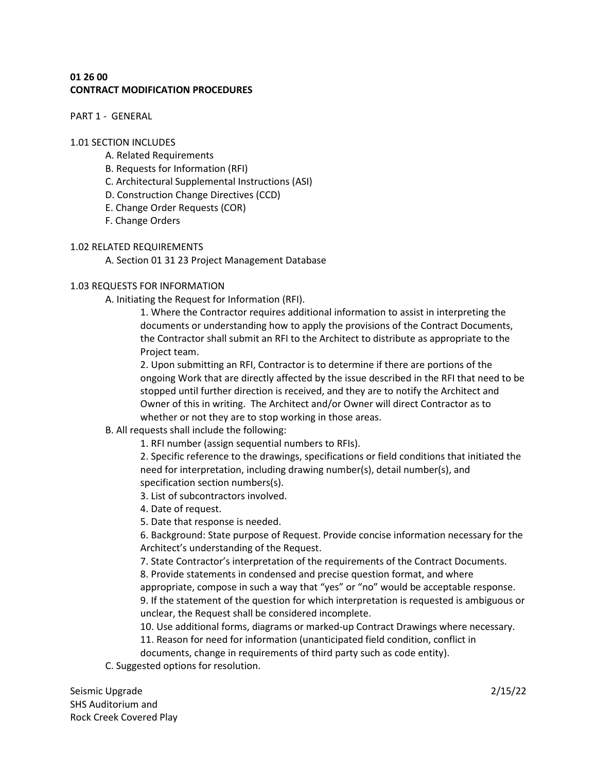# **01 26 00 CONTRACT MODIFICATION PROCEDURES**

PART 1 - GENERAL

### 1.01 SECTION INCLUDES

- A. Related Requirements
- B. Requests for Information (RFI)
- C. Architectural Supplemental Instructions (ASI)
- D. Construction Change Directives (CCD)
- E. Change Order Requests (COR)
- F. Change Orders

# 1.02 RELATED REQUIREMENTS

A. Section 01 31 23 Project Management Database

# 1.03 REQUESTS FOR INFORMATION

A. Initiating the Request for Information (RFI).

1. Where the Contractor requires additional information to assist in interpreting the documents or understanding how to apply the provisions of the Contract Documents, the Contractor shall submit an RFI to the Architect to distribute as appropriate to the Project team.

2. Upon submitting an RFI, Contractor is to determine if there are portions of the ongoing Work that are directly affected by the issue described in the RFI that need to be stopped until further direction is received, and they are to notify the Architect and Owner of this in writing. The Architect and/or Owner will direct Contractor as to whether or not they are to stop working in those areas.

# B. All requests shall include the following:

1. RFI number (assign sequential numbers to RFIs).

2. Specific reference to the drawings, specifications or field conditions that initiated the need for interpretation, including drawing number(s), detail number(s), and specification section numbers(s).

- 3. List of subcontractors involved.
- 4. Date of request.
- 5. Date that response is needed.

6. Background: State purpose of Request. Provide concise information necessary for the Architect's understanding of the Request.

- 7. State Contractor's interpretation of the requirements of the Contract Documents.
- 8. Provide statements in condensed and precise question format, and where

appropriate, compose in such a way that "yes" or "no" would be acceptable response. 9. If the statement of the question for which interpretation is requested is ambiguous or unclear, the Request shall be considered incomplete.

10. Use additional forms, diagrams or marked-up Contract Drawings where necessary.

11. Reason for need for information (unanticipated field condition, conflict in

documents, change in requirements of third party such as code entity).

C. Suggested options for resolution.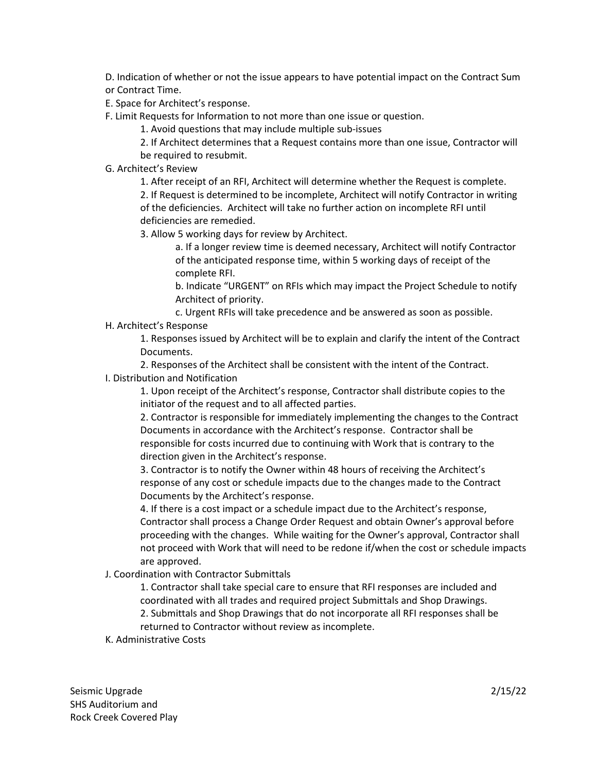D. Indication of whether or not the issue appears to have potential impact on the Contract Sum or Contract Time.

E. Space for Architect's response.

F. Limit Requests for Information to not more than one issue or question.

1. Avoid questions that may include multiple sub-issues

2. If Architect determines that a Request contains more than one issue, Contractor will be required to resubmit.

G. Architect's Review

1. After receipt of an RFI, Architect will determine whether the Request is complete. 2. If Request is determined to be incomplete, Architect will notify Contractor in writing of the deficiencies. Architect will take no further action on incomplete RFI until deficiencies are remedied.

3. Allow 5 working days for review by Architect.

a. If a longer review time is deemed necessary, Architect will notify Contractor of the anticipated response time, within 5 working days of receipt of the complete RFI.

b. Indicate "URGENT" on RFIs which may impact the Project Schedule to notify Architect of priority.

c. Urgent RFIs will take precedence and be answered as soon as possible.

# H. Architect's Response

1. Responses issued by Architect will be to explain and clarify the intent of the Contract Documents.

2. Responses of the Architect shall be consistent with the intent of the Contract.

# I. Distribution and Notification

1. Upon receipt of the Architect's response, Contractor shall distribute copies to the initiator of the request and to all affected parties.

2. Contractor is responsible for immediately implementing the changes to the Contract Documents in accordance with the Architect's response. Contractor shall be responsible for costs incurred due to continuing with Work that is contrary to the direction given in the Architect's response.

3. Contractor is to notify the Owner within 48 hours of receiving the Architect's response of any cost or schedule impacts due to the changes made to the Contract Documents by the Architect's response.

4. If there is a cost impact or a schedule impact due to the Architect's response, Contractor shall process a Change Order Request and obtain Owner's approval before proceeding with the changes. While waiting for the Owner's approval, Contractor shall not proceed with Work that will need to be redone if/when the cost or schedule impacts are approved.

# J. Coordination with Contractor Submittals

1. Contractor shall take special care to ensure that RFI responses are included and coordinated with all trades and required project Submittals and Shop Drawings.

2. Submittals and Shop Drawings that do not incorporate all RFI responses shall be returned to Contractor without review as incomplete.

# K. Administrative Costs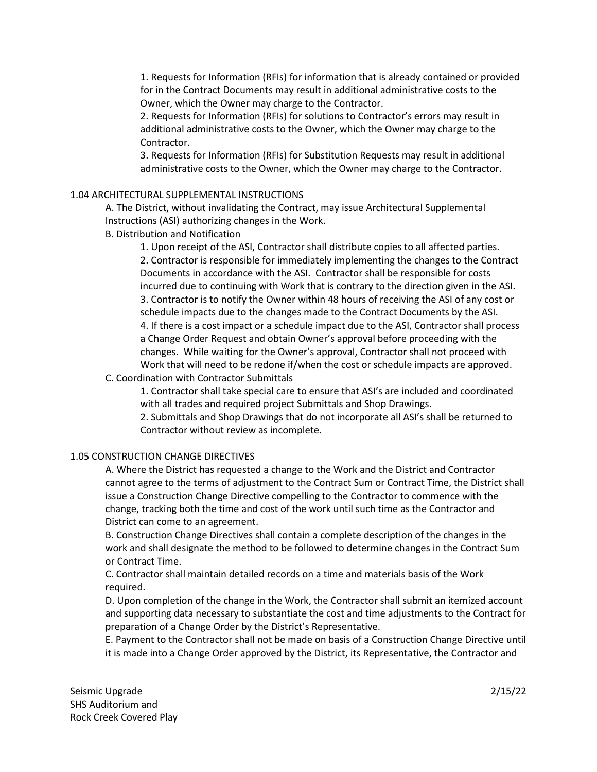1. Requests for Information (RFIs) for information that is already contained or provided for in the Contract Documents may result in additional administrative costs to the Owner, which the Owner may charge to the Contractor.

2. Requests for Information (RFIs) for solutions to Contractor's errors may result in additional administrative costs to the Owner, which the Owner may charge to the Contractor.

3. Requests for Information (RFIs) for Substitution Requests may result in additional administrative costs to the Owner, which the Owner may charge to the Contractor.

# 1.04 ARCHITECTURAL SUPPLEMENTAL INSTRUCTIONS

A. The District, without invalidating the Contract, may issue Architectural Supplemental Instructions (ASI) authorizing changes in the Work.

B. Distribution and Notification

1. Upon receipt of the ASI, Contractor shall distribute copies to all affected parties. 2. Contractor is responsible for immediately implementing the changes to the Contract Documents in accordance with the ASI. Contractor shall be responsible for costs incurred due to continuing with Work that is contrary to the direction given in the ASI. 3. Contractor is to notify the Owner within 48 hours of receiving the ASI of any cost or schedule impacts due to the changes made to the Contract Documents by the ASI. 4. If there is a cost impact or a schedule impact due to the ASI, Contractor shall process a Change Order Request and obtain Owner's approval before proceeding with the changes. While waiting for the Owner's approval, Contractor shall not proceed with Work that will need to be redone if/when the cost or schedule impacts are approved.

# C. Coordination with Contractor Submittals

1. Contractor shall take special care to ensure that ASI's are included and coordinated with all trades and required project Submittals and Shop Drawings.

2. Submittals and Shop Drawings that do not incorporate all ASI's shall be returned to Contractor without review as incomplete.

# 1.05 CONSTRUCTION CHANGE DIRECTIVES

A. Where the District has requested a change to the Work and the District and Contractor cannot agree to the terms of adjustment to the Contract Sum or Contract Time, the District shall issue a Construction Change Directive compelling to the Contractor to commence with the change, tracking both the time and cost of the work until such time as the Contractor and District can come to an agreement.

B. Construction Change Directives shall contain a complete description of the changes in the work and shall designate the method to be followed to determine changes in the Contract Sum or Contract Time.

C. Contractor shall maintain detailed records on a time and materials basis of the Work required.

D. Upon completion of the change in the Work, the Contractor shall submit an itemized account and supporting data necessary to substantiate the cost and time adjustments to the Contract for preparation of a Change Order by the District's Representative.

E. Payment to the Contractor shall not be made on basis of a Construction Change Directive until it is made into a Change Order approved by the District, its Representative, the Contractor and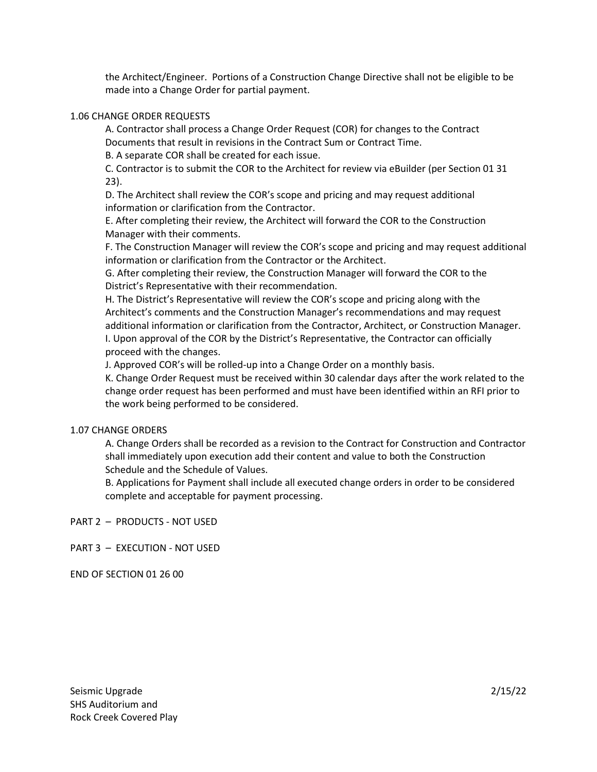the Architect/Engineer. Portions of a Construction Change Directive shall not be eligible to be made into a Change Order for partial payment.

### 1.06 CHANGE ORDER REQUESTS

A. Contractor shall process a Change Order Request (COR) for changes to the Contract Documents that result in revisions in the Contract Sum or Contract Time.

B. A separate COR shall be created for each issue.

C. Contractor is to submit the COR to the Architect for review via eBuilder (per Section 01 31 23).

D. The Architect shall review the COR's scope and pricing and may request additional information or clarification from the Contractor.

E. After completing their review, the Architect will forward the COR to the Construction Manager with their comments.

F. The Construction Manager will review the COR's scope and pricing and may request additional information or clarification from the Contractor or the Architect.

G. After completing their review, the Construction Manager will forward the COR to the District's Representative with their recommendation.

H. The District's Representative will review the COR's scope and pricing along with the Architect's comments and the Construction Manager's recommendations and may request additional information or clarification from the Contractor, Architect, or Construction Manager. I. Upon approval of the COR by the District's Representative, the Contractor can officially proceed with the changes.

J. Approved COR's will be rolled-up into a Change Order on a monthly basis.

K. Change Order Request must be received within 30 calendar days after the work related to the change order request has been performed and must have been identified within an RFI prior to the work being performed to be considered.

# 1.07 CHANGE ORDERS

A. Change Orders shall be recorded as a revision to the Contract for Construction and Contractor shall immediately upon execution add their content and value to both the Construction Schedule and the Schedule of Values.

B. Applications for Payment shall include all executed change orders in order to be considered complete and acceptable for payment processing.

PART 2 – PRODUCTS - NOT USED

PART 3 – EXECUTION - NOT USED

END OF SECTION 01 26 00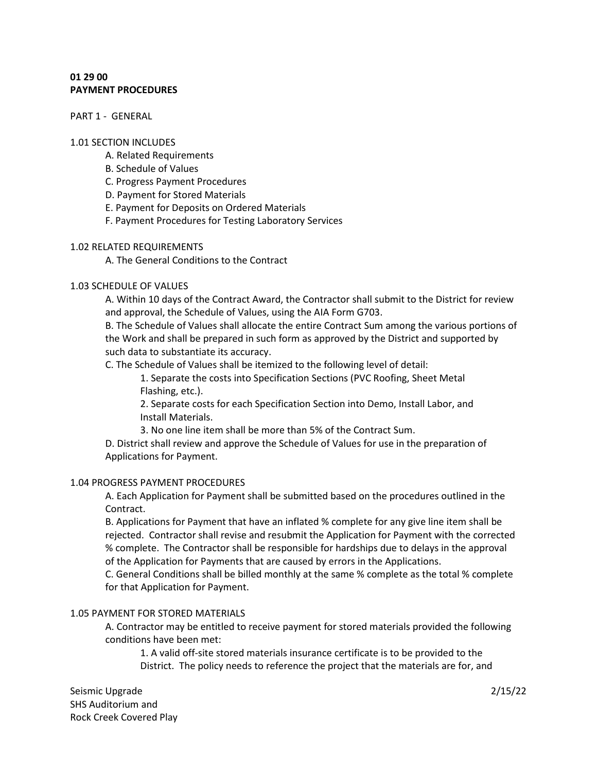# **01 29 00 PAYMENT PROCEDURES**

PART 1 - GENERAL

#### 1.01 SECTION INCLUDES

- A. Related Requirements
- B. Schedule of Values
- C. Progress Payment Procedures
- D. Payment for Stored Materials
- E. Payment for Deposits on Ordered Materials
- F. Payment Procedures for Testing Laboratory Services

### 1.02 RELATED REQUIREMENTS

A. The General Conditions to the Contract

### 1.03 SCHEDULE OF VALUES

A. Within 10 days of the Contract Award, the Contractor shall submit to the District for review and approval, the Schedule of Values, using the AIA Form G703.

B. The Schedule of Values shall allocate the entire Contract Sum among the various portions of the Work and shall be prepared in such form as approved by the District and supported by such data to substantiate its accuracy.

C. The Schedule of Values shall be itemized to the following level of detail:

1. Separate the costs into Specification Sections (PVC Roofing, Sheet Metal Flashing, etc.).

2. Separate costs for each Specification Section into Demo, Install Labor, and Install Materials.

3. No one line item shall be more than 5% of the Contract Sum.

D. District shall review and approve the Schedule of Values for use in the preparation of Applications for Payment.

### 1.04 PROGRESS PAYMENT PROCEDURES

A. Each Application for Payment shall be submitted based on the procedures outlined in the Contract.

B. Applications for Payment that have an inflated % complete for any give line item shall be rejected. Contractor shall revise and resubmit the Application for Payment with the corrected % complete. The Contractor shall be responsible for hardships due to delays in the approval of the Application for Payments that are caused by errors in the Applications.

C. General Conditions shall be billed monthly at the same % complete as the total % complete for that Application for Payment.

### 1.05 PAYMENT FOR STORED MATERIALS

A. Contractor may be entitled to receive payment for stored materials provided the following conditions have been met:

1. A valid off-site stored materials insurance certificate is to be provided to the District. The policy needs to reference the project that the materials are for, and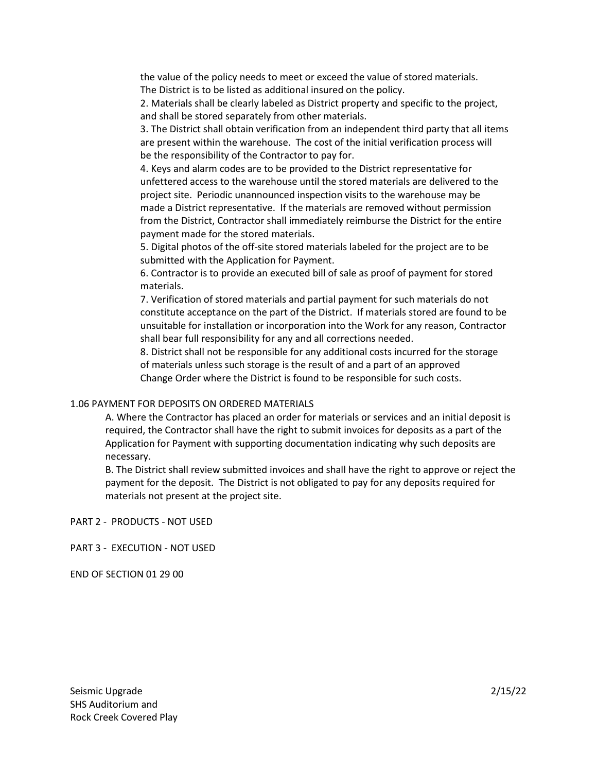the value of the policy needs to meet or exceed the value of stored materials. The District is to be listed as additional insured on the policy.

2. Materials shall be clearly labeled as District property and specific to the project, and shall be stored separately from other materials.

3. The District shall obtain verification from an independent third party that all items are present within the warehouse. The cost of the initial verification process will be the responsibility of the Contractor to pay for.

4. Keys and alarm codes are to be provided to the District representative for unfettered access to the warehouse until the stored materials are delivered to the project site. Periodic unannounced inspection visits to the warehouse may be made a District representative. If the materials are removed without permission from the District, Contractor shall immediately reimburse the District for the entire payment made for the stored materials.

5. Digital photos of the off-site stored materials labeled for the project are to be submitted with the Application for Payment.

6. Contractor is to provide an executed bill of sale as proof of payment for stored materials.

7. Verification of stored materials and partial payment for such materials do not constitute acceptance on the part of the District. If materials stored are found to be unsuitable for installation or incorporation into the Work for any reason, Contractor shall bear full responsibility for any and all corrections needed.

8. District shall not be responsible for any additional costs incurred for the storage of materials unless such storage is the result of and a part of an approved Change Order where the District is found to be responsible for such costs.

#### 1.06 PAYMENT FOR DEPOSITS ON ORDERED MATERIALS

A. Where the Contractor has placed an order for materials or services and an initial deposit is required, the Contractor shall have the right to submit invoices for deposits as a part of the Application for Payment with supporting documentation indicating why such deposits are necessary.

B. The District shall review submitted invoices and shall have the right to approve or reject the payment for the deposit. The District is not obligated to pay for any deposits required for materials not present at the project site.

PART 2 - PRODUCTS - NOT USED

PART 3 - EXECUTION - NOT USED

END OF SECTION 01 29 00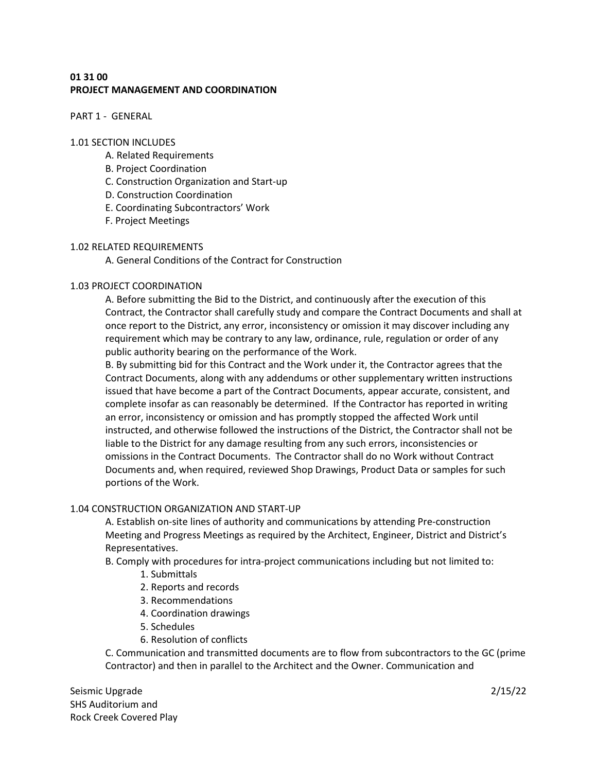# **01 31 00 PROJECT MANAGEMENT AND COORDINATION**

PART 1 - GENERAL

### 1.01 SECTION INCLUDES

- A. Related Requirements
- B. Project Coordination
- C. Construction Organization and Start-up
- D. Construction Coordination
- E. Coordinating Subcontractors' Work
- F. Project Meetings

### 1.02 RELATED REQUIREMENTS

A. General Conditions of the Contract for Construction

# 1.03 PROJECT COORDINATION

A. Before submitting the Bid to the District, and continuously after the execution of this Contract, the Contractor shall carefully study and compare the Contract Documents and shall at once report to the District, any error, inconsistency or omission it may discover including any requirement which may be contrary to any law, ordinance, rule, regulation or order of any public authority bearing on the performance of the Work.

B. By submitting bid for this Contract and the Work under it, the Contractor agrees that the Contract Documents, along with any addendums or other supplementary written instructions issued that have become a part of the Contract Documents, appear accurate, consistent, and complete insofar as can reasonably be determined. If the Contractor has reported in writing an error, inconsistency or omission and has promptly stopped the affected Work until instructed, and otherwise followed the instructions of the District, the Contractor shall not be liable to the District for any damage resulting from any such errors, inconsistencies or omissions in the Contract Documents. The Contractor shall do no Work without Contract Documents and, when required, reviewed Shop Drawings, Product Data or samples for such portions of the Work.

# 1.04 CONSTRUCTION ORGANIZATION AND START-UP

A. Establish on-site lines of authority and communications by attending Pre-construction Meeting and Progress Meetings as required by the Architect, Engineer, District and District's Representatives.

B. Comply with procedures for intra-project communications including but not limited to:

- 1. Submittals
- 2. Reports and records
- 3. Recommendations
- 4. Coordination drawings
- 5. Schedules
- 6. Resolution of conflicts

C. Communication and transmitted documents are to flow from subcontractors to the GC (prime Contractor) and then in parallel to the Architect and the Owner. Communication and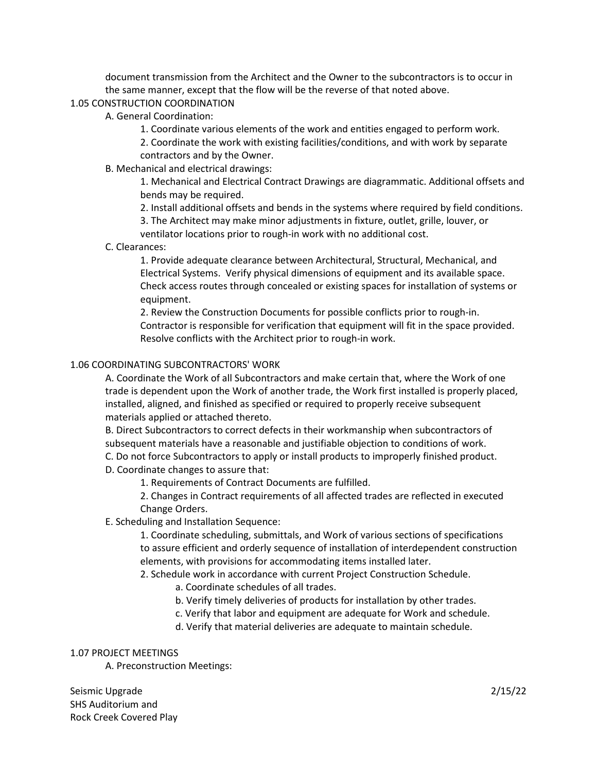document transmission from the Architect and the Owner to the subcontractors is to occur in the same manner, except that the flow will be the reverse of that noted above.

### 1.05 CONSTRUCTION COORDINATION

- A. General Coordination:
	- 1. Coordinate various elements of the work and entities engaged to perform work.

2. Coordinate the work with existing facilities/conditions, and with work by separate contractors and by the Owner.

### B. Mechanical and electrical drawings:

1. Mechanical and Electrical Contract Drawings are diagrammatic. Additional offsets and bends may be required.

2. Install additional offsets and bends in the systems where required by field conditions.

3. The Architect may make minor adjustments in fixture, outlet, grille, louver, or ventilator locations prior to rough-in work with no additional cost.

#### C. Clearances:

1. Provide adequate clearance between Architectural, Structural, Mechanical, and Electrical Systems. Verify physical dimensions of equipment and its available space. Check access routes through concealed or existing spaces for installation of systems or equipment.

2. Review the Construction Documents for possible conflicts prior to rough-in. Contractor is responsible for verification that equipment will fit in the space provided. Resolve conflicts with the Architect prior to rough-in work.

### 1.06 COORDINATING SUBCONTRACTORS' WORK

A. Coordinate the Work of all Subcontractors and make certain that, where the Work of one trade is dependent upon the Work of another trade, the Work first installed is properly placed, installed, aligned, and finished as specified or required to properly receive subsequent materials applied or attached thereto.

B. Direct Subcontractors to correct defects in their workmanship when subcontractors of subsequent materials have a reasonable and justifiable objection to conditions of work.

C. Do not force Subcontractors to apply or install products to improperly finished product.

D. Coordinate changes to assure that:

1. Requirements of Contract Documents are fulfilled.

2. Changes in Contract requirements of all affected trades are reflected in executed Change Orders.

# E. Scheduling and Installation Sequence:

1. Coordinate scheduling, submittals, and Work of various sections of specifications to assure efficient and orderly sequence of installation of interdependent construction elements, with provisions for accommodating items installed later.

2. Schedule work in accordance with current Project Construction Schedule.

- a. Coordinate schedules of all trades.
- b. Verify timely deliveries of products for installation by other trades.
- c. Verify that labor and equipment are adequate for Work and schedule.
- d. Verify that material deliveries are adequate to maintain schedule.

#### 1.07 PROJECT MEETINGS

A. Preconstruction Meetings: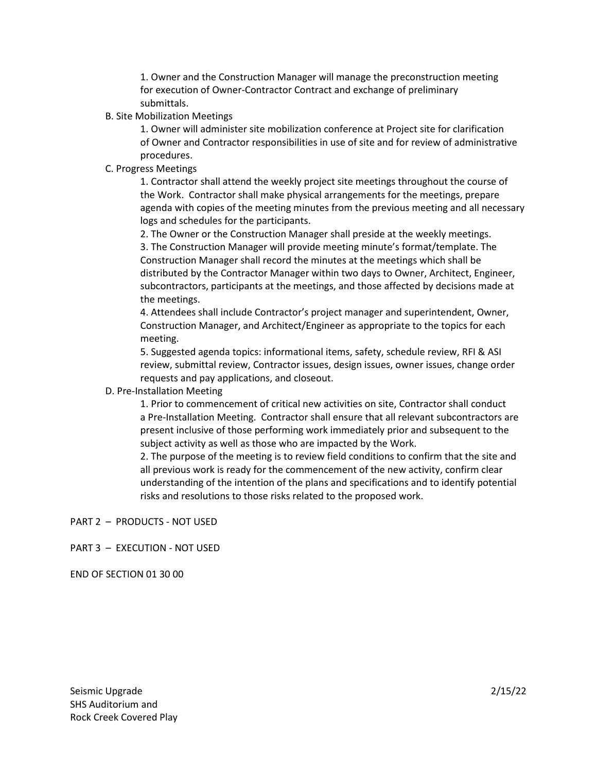1. Owner and the Construction Manager will manage the preconstruction meeting for execution of Owner-Contractor Contract and exchange of preliminary submittals.

B. Site Mobilization Meetings

1. Owner will administer site mobilization conference at Project site for clarification of Owner and Contractor responsibilities in use of site and for review of administrative procedures.

# C. Progress Meetings

1. Contractor shall attend the weekly project site meetings throughout the course of the Work. Contractor shall make physical arrangements for the meetings, prepare agenda with copies of the meeting minutes from the previous meeting and all necessary logs and schedules for the participants.

2. The Owner or the Construction Manager shall preside at the weekly meetings.

3. The Construction Manager will provide meeting minute's format/template. The Construction Manager shall record the minutes at the meetings which shall be distributed by the Contractor Manager within two days to Owner, Architect, Engineer, subcontractors, participants at the meetings, and those affected by decisions made at the meetings.

4. Attendees shall include Contractor's project manager and superintendent, Owner, Construction Manager, and Architect/Engineer as appropriate to the topics for each meeting.

5. Suggested agenda topics: informational items, safety, schedule review, RFI & ASI review, submittal review, Contractor issues, design issues, owner issues, change order requests and pay applications, and closeout.

# D. Pre-Installation Meeting

1. Prior to commencement of critical new activities on site, Contractor shall conduct a Pre-Installation Meeting. Contractor shall ensure that all relevant subcontractors are present inclusive of those performing work immediately prior and subsequent to the subject activity as well as those who are impacted by the Work.

2. The purpose of the meeting is to review field conditions to confirm that the site and all previous work is ready for the commencement of the new activity, confirm clear understanding of the intention of the plans and specifications and to identify potential risks and resolutions to those risks related to the proposed work.

PART 2 – PRODUCTS - NOT USED

# PART 3 – EXECUTION - NOT USED

END OF SECTION 01 30 00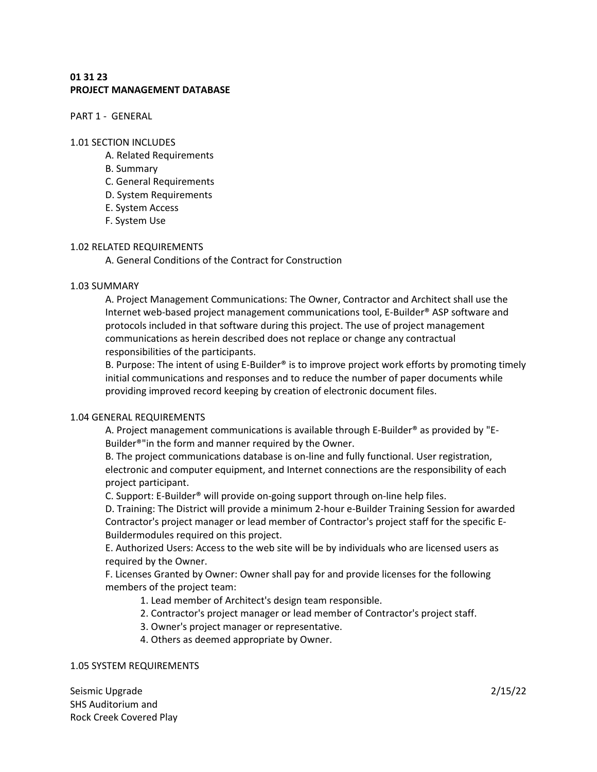# **01 31 23 PROJECT MANAGEMENT DATABASE**

PART 1 - GENERAL

#### 1.01 SECTION INCLUDES

- A. Related Requirements
- B. Summary
- C. General Requirements
- D. System Requirements
- E. System Access
- F. System Use

#### 1.02 RELATED REQUIREMENTS

A. General Conditions of the Contract for Construction

#### 1.03 SUMMARY

A. Project Management Communications: The Owner, Contractor and Architect shall use the Internet web-based project management communications tool, E-Builder® ASP software and protocols included in that software during this project. The use of project management communications as herein described does not replace or change any contractual responsibilities of the participants.

B. Purpose: The intent of using E-Builder<sup>®</sup> is to improve project work efforts by promoting timely initial communications and responses and to reduce the number of paper documents while providing improved record keeping by creation of electronic document files.

#### 1.04 GENERAL REQUIREMENTS

A. Project management communications is available through E-Builder® as provided by "E-Builder®"in the form and manner required by the Owner.

B. The project communications database is on-line and fully functional. User registration, electronic and computer equipment, and Internet connections are the responsibility of each project participant.

C. Support: E-Builder® will provide on-going support through on-line help files.

D. Training: The District will provide a minimum 2-hour e-Builder Training Session for awarded Contractor's project manager or lead member of Contractor's project staff for the specific E-Buildermodules required on this project.

E. Authorized Users: Access to the web site will be by individuals who are licensed users as required by the Owner.

F. Licenses Granted by Owner: Owner shall pay for and provide licenses for the following members of the project team:

- 1. Lead member of Architect's design team responsible.
- 2. Contractor's project manager or lead member of Contractor's project staff.
- 3. Owner's project manager or representative.
- 4. Others as deemed appropriate by Owner.

#### 1.05 SYSTEM REQUIREMENTS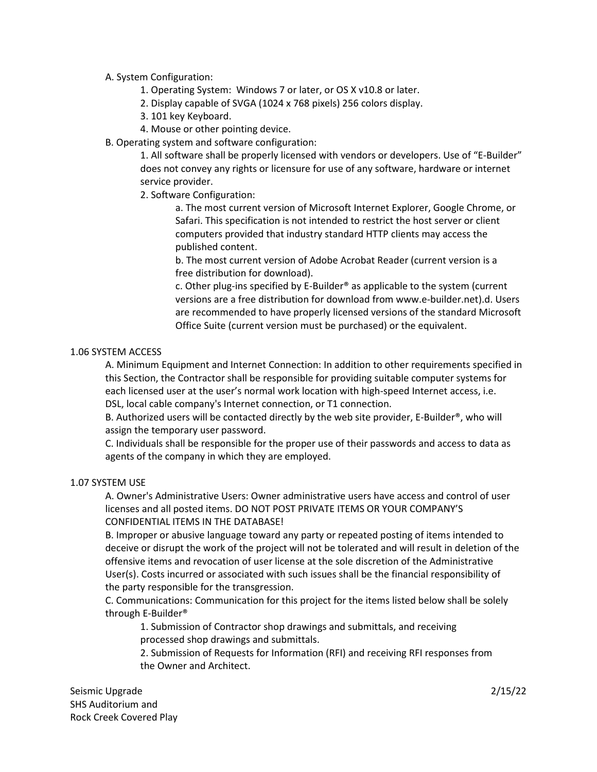# A. System Configuration:

- 1. Operating System: Windows 7 or later, or OS X v10.8 or later.
- 2. Display capable of SVGA (1024 x 768 pixels) 256 colors display.
- 3. 101 key Keyboard.
- 4. Mouse or other pointing device.
- B. Operating system and software configuration:

1. All software shall be properly licensed with vendors or developers. Use of "E-Builder" does not convey any rights or licensure for use of any software, hardware or internet service provider.

2. Software Configuration:

a. The most current version of Microsoft Internet Explorer, Google Chrome, or Safari. This specification is not intended to restrict the host server or client computers provided that industry standard HTTP clients may access the published content.

b. The most current version of Adobe Acrobat Reader (current version is a free distribution for download).

c. Other plug-ins specified by E-Builder® as applicable to the system (current versions are a free distribution for download from www.e-builder.net).d. Users are recommended to have properly licensed versions of the standard Microsoft Office Suite (current version must be purchased) or the equivalent.

# 1.06 SYSTEM ACCESS

A. Minimum Equipment and Internet Connection: In addition to other requirements specified in this Section, the Contractor shall be responsible for providing suitable computer systems for each licensed user at the user's normal work location with high-speed Internet access, i.e. DSL, local cable company's Internet connection, or T1 connection.

B. Authorized users will be contacted directly by the web site provider, E-Builder®, who will assign the temporary user password.

C. Individuals shall be responsible for the proper use of their passwords and access to data as agents of the company in which they are employed.

# 1.07 SYSTEM USE

A. Owner's Administrative Users: Owner administrative users have access and control of user licenses and all posted items. DO NOT POST PRIVATE ITEMS OR YOUR COMPANY'S CONFIDENTIAL ITEMS IN THE DATABASE!

B. Improper or abusive language toward any party or repeated posting of items intended to deceive or disrupt the work of the project will not be tolerated and will result in deletion of the offensive items and revocation of user license at the sole discretion of the Administrative User(s). Costs incurred or associated with such issues shall be the financial responsibility of the party responsible for the transgression.

C. Communications: Communication for this project for the items listed below shall be solely through E-Builder®

1. Submission of Contractor shop drawings and submittals, and receiving processed shop drawings and submittals.

2. Submission of Requests for Information (RFI) and receiving RFI responses from the Owner and Architect.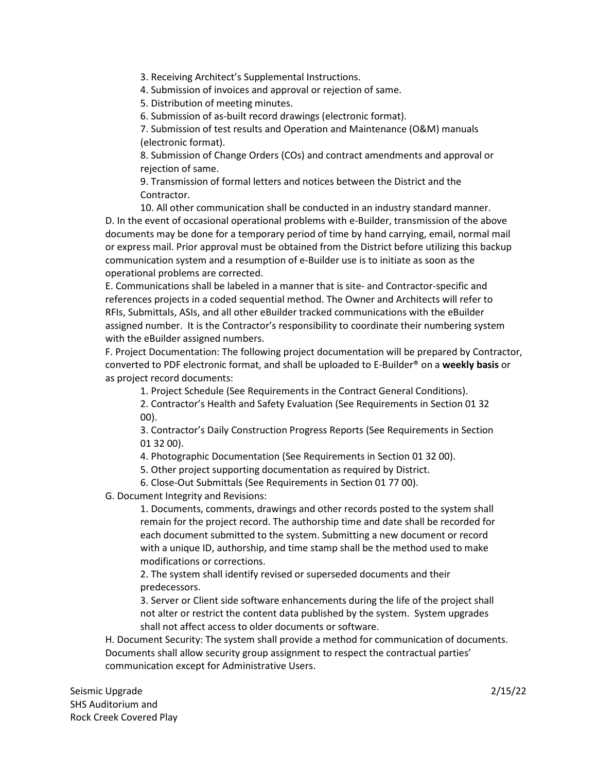3. Receiving Architect's Supplemental Instructions.

4. Submission of invoices and approval or rejection of same.

5. Distribution of meeting minutes.

6. Submission of as-built record drawings (electronic format).

7. Submission of test results and Operation and Maintenance (O&M) manuals (electronic format).

8. Submission of Change Orders (COs) and contract amendments and approval or rejection of same.

9. Transmission of formal letters and notices between the District and the Contractor.

10. All other communication shall be conducted in an industry standard manner. D. In the event of occasional operational problems with e-Builder, transmission of the above documents may be done for a temporary period of time by hand carrying, email, normal mail or express mail. Prior approval must be obtained from the District before utilizing this backup communication system and a resumption of e-Builder use is to initiate as soon as the operational problems are corrected.

E. Communications shall be labeled in a manner that is site- and Contractor-specific and references projects in a coded sequential method. The Owner and Architects will refer to RFIs, Submittals, ASIs, and all other eBuilder tracked communications with the eBuilder assigned number. It is the Contractor's responsibility to coordinate their numbering system with the eBuilder assigned numbers.

F. Project Documentation: The following project documentation will be prepared by Contractor, converted to PDF electronic format, and shall be uploaded to E-Builder® on a **weekly basis** or as project record documents:

1. Project Schedule (See Requirements in the Contract General Conditions).

2. Contractor's Health and Safety Evaluation (See Requirements in Section 01 32 00).

3. Contractor's Daily Construction Progress Reports (See Requirements in Section 01 32 00).

4. Photographic Documentation (See Requirements in Section 01 32 00).

5. Other project supporting documentation as required by District.

6. Close-Out Submittals (See Requirements in Section 01 77 00).

G. Document Integrity and Revisions:

1. Documents, comments, drawings and other records posted to the system shall remain for the project record. The authorship time and date shall be recorded for each document submitted to the system. Submitting a new document or record with a unique ID, authorship, and time stamp shall be the method used to make modifications or corrections.

2. The system shall identify revised or superseded documents and their predecessors.

3. Server or Client side software enhancements during the life of the project shall not alter or restrict the content data published by the system. System upgrades shall not affect access to older documents or software.

H. Document Security: The system shall provide a method for communication of documents. Documents shall allow security group assignment to respect the contractual parties' communication except for Administrative Users.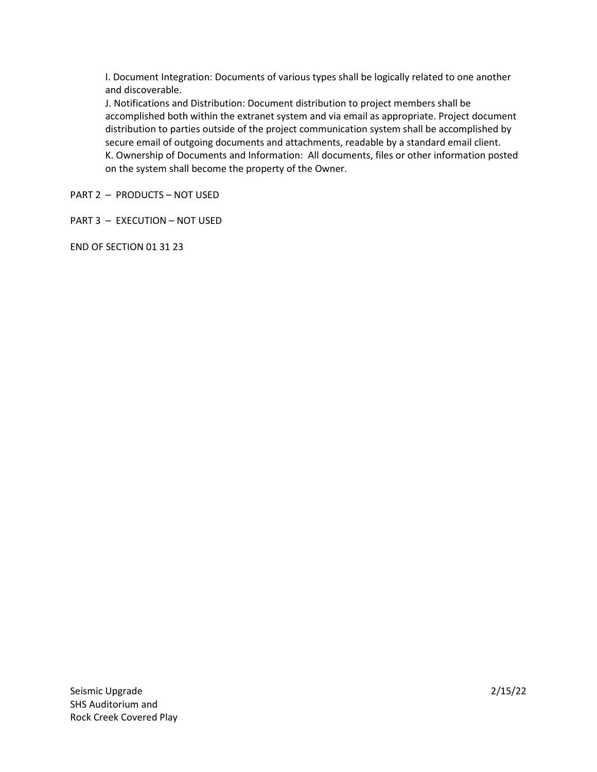I. Document Integration: Documents of various types shall be logically related to one another and discoverable.

J. Notifications and Distribution: Document distribution to project members shall be accomplished both within the extranet system and via email as appropriate. Project document distribution to parties outside of the project communication system shall be accomplished by secure email of outgoing documents and attachments, readable by a standard email client. K. Ownership of Documents and Information: All documents, files or other information posted on the system shall become the property of the Owner.

PART 2 – PRODUCTS – NOT USED

PART 3 – EXECUTION – NOT USED

END OF SECTION 01 31 23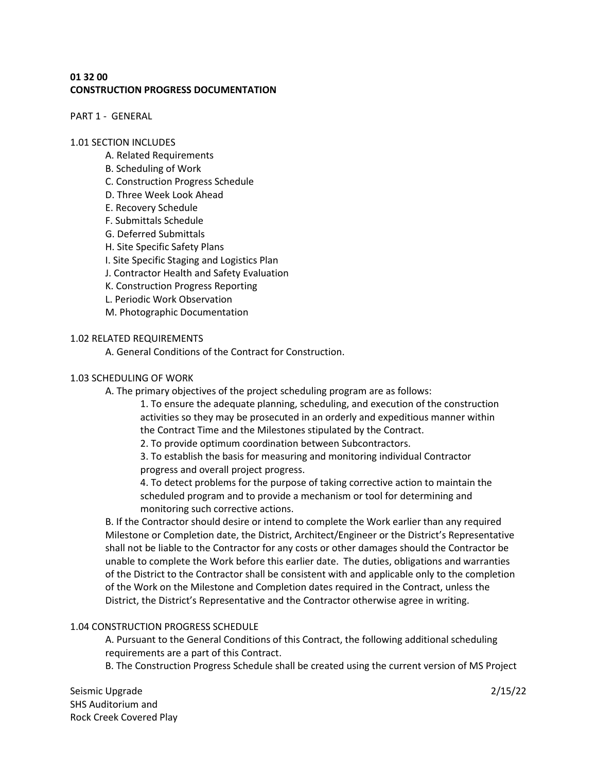# **01 32 00 CONSTRUCTION PROGRESS DOCUMENTATION**

PART 1 - GENERAL

### 1.01 SECTION INCLUDES

- A. Related Requirements
- B. Scheduling of Work
- C. Construction Progress Schedule
- D. Three Week Look Ahead
- E. Recovery Schedule
- F. Submittals Schedule
- G. Deferred Submittals
- H. Site Specific Safety Plans
- I. Site Specific Staging and Logistics Plan
- J. Contractor Health and Safety Evaluation
- K. Construction Progress Reporting
- L. Periodic Work Observation
- M. Photographic Documentation

### 1.02 RELATED REQUIREMENTS

A. General Conditions of the Contract for Construction.

### 1.03 SCHEDULING OF WORK

A. The primary objectives of the project scheduling program are as follows:

1. To ensure the adequate planning, scheduling, and execution of the construction activities so they may be prosecuted in an orderly and expeditious manner within the Contract Time and the Milestones stipulated by the Contract.

2. To provide optimum coordination between Subcontractors.

3. To establish the basis for measuring and monitoring individual Contractor progress and overall project progress.

4. To detect problems for the purpose of taking corrective action to maintain the scheduled program and to provide a mechanism or tool for determining and monitoring such corrective actions.

B. If the Contractor should desire or intend to complete the Work earlier than any required Milestone or Completion date, the District, Architect/Engineer or the District's Representative shall not be liable to the Contractor for any costs or other damages should the Contractor be unable to complete the Work before this earlier date. The duties, obligations and warranties of the District to the Contractor shall be consistent with and applicable only to the completion of the Work on the Milestone and Completion dates required in the Contract, unless the District, the District's Representative and the Contractor otherwise agree in writing.

# 1.04 CONSTRUCTION PROGRESS SCHEDULE

A. Pursuant to the General Conditions of this Contract, the following additional scheduling requirements are a part of this Contract.

B. The Construction Progress Schedule shall be created using the current version of MS Project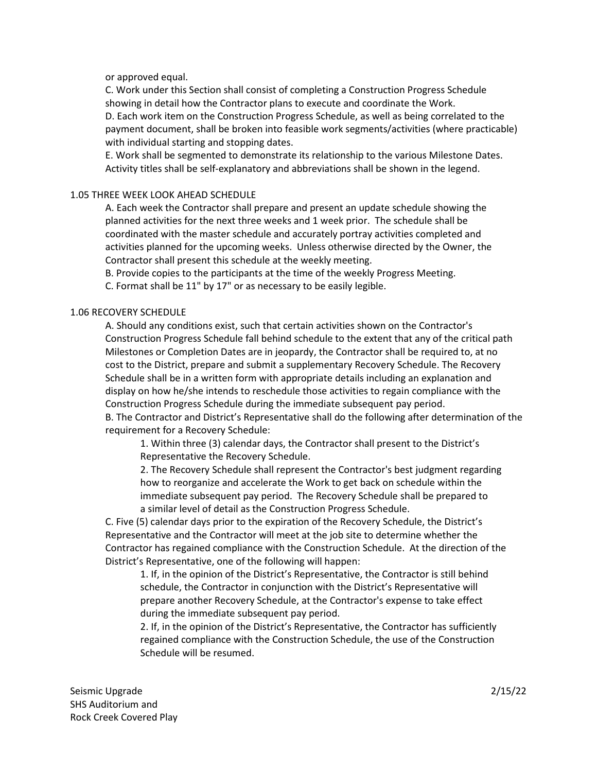or approved equal.

C. Work under this Section shall consist of completing a Construction Progress Schedule showing in detail how the Contractor plans to execute and coordinate the Work. D. Each work item on the Construction Progress Schedule, as well as being correlated to the

payment document, shall be broken into feasible work segments/activities (where practicable) with individual starting and stopping dates.

E. Work shall be segmented to demonstrate its relationship to the various Milestone Dates. Activity titles shall be self-explanatory and abbreviations shall be shown in the legend.

### 1.05 THREE WEEK LOOK AHEAD SCHEDULE

A. Each week the Contractor shall prepare and present an update schedule showing the planned activities for the next three weeks and 1 week prior. The schedule shall be coordinated with the master schedule and accurately portray activities completed and activities planned for the upcoming weeks. Unless otherwise directed by the Owner, the Contractor shall present this schedule at the weekly meeting.

B. Provide copies to the participants at the time of the weekly Progress Meeting.

C. Format shall be 11" by 17" or as necessary to be easily legible.

### 1.06 RECOVERY SCHEDULE

A. Should any conditions exist, such that certain activities shown on the Contractor's Construction Progress Schedule fall behind schedule to the extent that any of the critical path Milestones or Completion Dates are in jeopardy, the Contractor shall be required to, at no cost to the District, prepare and submit a supplementary Recovery Schedule. The Recovery Schedule shall be in a written form with appropriate details including an explanation and display on how he/she intends to reschedule those activities to regain compliance with the Construction Progress Schedule during the immediate subsequent pay period. B. The Contractor and District's Representative shall do the following after determination of the

requirement for a Recovery Schedule:

1. Within three (3) calendar days, the Contractor shall present to the District's Representative the Recovery Schedule.

2. The Recovery Schedule shall represent the Contractor's best judgment regarding how to reorganize and accelerate the Work to get back on schedule within the immediate subsequent pay period. The Recovery Schedule shall be prepared to a similar level of detail as the Construction Progress Schedule.

C. Five (5) calendar days prior to the expiration of the Recovery Schedule, the District's Representative and the Contractor will meet at the job site to determine whether the Contractor has regained compliance with the Construction Schedule. At the direction of the District's Representative, one of the following will happen:

1. If, in the opinion of the District's Representative, the Contractor is still behind schedule, the Contractor in conjunction with the District's Representative will prepare another Recovery Schedule, at the Contractor's expense to take effect during the immediate subsequent pay period.

2. If, in the opinion of the District's Representative, the Contractor has sufficiently regained compliance with the Construction Schedule, the use of the Construction Schedule will be resumed.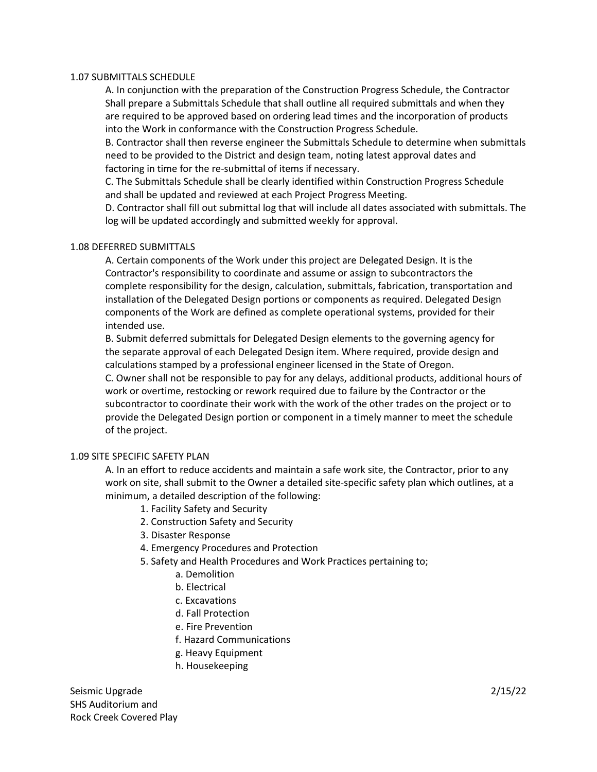### 1.07 SUBMITTALS SCHEDULE

A. In conjunction with the preparation of the Construction Progress Schedule, the Contractor Shall prepare a Submittals Schedule that shall outline all required submittals and when they are required to be approved based on ordering lead times and the incorporation of products into the Work in conformance with the Construction Progress Schedule.

B. Contractor shall then reverse engineer the Submittals Schedule to determine when submittals need to be provided to the District and design team, noting latest approval dates and factoring in time for the re-submittal of items if necessary.

C. The Submittals Schedule shall be clearly identified within Construction Progress Schedule and shall be updated and reviewed at each Project Progress Meeting.

D. Contractor shall fill out submittal log that will include all dates associated with submittals. The log will be updated accordingly and submitted weekly for approval.

### 1.08 DEFERRED SUBMITTALS

A. Certain components of the Work under this project are Delegated Design. It is the Contractor's responsibility to coordinate and assume or assign to subcontractors the complete responsibility for the design, calculation, submittals, fabrication, transportation and installation of the Delegated Design portions or components as required. Delegated Design components of the Work are defined as complete operational systems, provided for their intended use.

B. Submit deferred submittals for Delegated Design elements to the governing agency for the separate approval of each Delegated Design item. Where required, provide design and calculations stamped by a professional engineer licensed in the State of Oregon.

C. Owner shall not be responsible to pay for any delays, additional products, additional hours of work or overtime, restocking or rework required due to failure by the Contractor or the subcontractor to coordinate their work with the work of the other trades on the project or to provide the Delegated Design portion or component in a timely manner to meet the schedule of the project.

# 1.09 SITE SPECIFIC SAFETY PLAN

A. In an effort to reduce accidents and maintain a safe work site, the Contractor, prior to any work on site, shall submit to the Owner a detailed site-specific safety plan which outlines, at a minimum, a detailed description of the following:

- 1. Facility Safety and Security
- 2. Construction Safety and Security
- 3. Disaster Response
- 4. Emergency Procedures and Protection
- 5. Safety and Health Procedures and Work Practices pertaining to;
	- a. Demolition
		- b. Electrical
		- c. Excavations
		- d. Fall Protection
		- e. Fire Prevention
		- f. Hazard Communications
		- g. Heavy Equipment
		- h. Housekeeping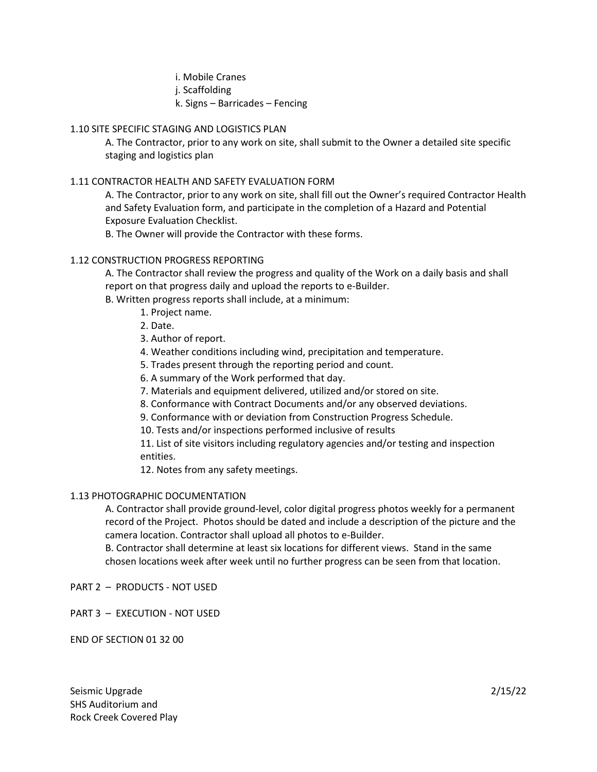i. Mobile Cranes j. Scaffolding k. Signs – Barricades – Fencing

# 1.10 SITE SPECIFIC STAGING AND LOGISTICS PLAN

A. The Contractor, prior to any work on site, shall submit to the Owner a detailed site specific staging and logistics plan

# 1.11 CONTRACTOR HEALTH AND SAFETY EVALUATION FORM

A. The Contractor, prior to any work on site, shall fill out the Owner's required Contractor Health and Safety Evaluation form, and participate in the completion of a Hazard and Potential Exposure Evaluation Checklist.

B. The Owner will provide the Contractor with these forms.

# 1.12 CONSTRUCTION PROGRESS REPORTING

A. The Contractor shall review the progress and quality of the Work on a daily basis and shall report on that progress daily and upload the reports to e-Builder.

B. Written progress reports shall include, at a minimum:

- 1. Project name.
- 2. Date.

3. Author of report.

- 4. Weather conditions including wind, precipitation and temperature.
- 5. Trades present through the reporting period and count.
- 6. A summary of the Work performed that day.
- 7. Materials and equipment delivered, utilized and/or stored on site.
- 8. Conformance with Contract Documents and/or any observed deviations.
- 9. Conformance with or deviation from Construction Progress Schedule.
- 10. Tests and/or inspections performed inclusive of results

11. List of site visitors including regulatory agencies and/or testing and inspection entities.

12. Notes from any safety meetings.

# 1.13 PHOTOGRAPHIC DOCUMENTATION

A. Contractor shall provide ground-level, color digital progress photos weekly for a permanent record of the Project. Photos should be dated and include a description of the picture and the camera location. Contractor shall upload all photos to e-Builder.

B. Contractor shall determine at least six locations for different views. Stand in the same chosen locations week after week until no further progress can be seen from that location.

PART 2 – PRODUCTS - NOT USED

PART 3 – EXECUTION - NOT USED

END OF SECTION 01 32 00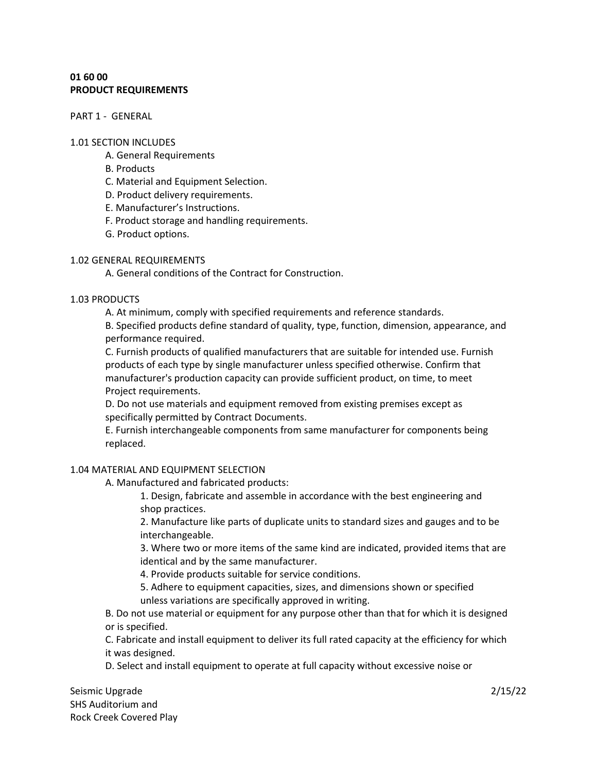# **01 60 00 PRODUCT REQUIREMENTS**

PART 1 - GENERAL

### 1.01 SECTION INCLUDES

- A. General Requirements
- B. Products
- C. Material and Equipment Selection.
- D. Product delivery requirements.
- E. Manufacturer's Instructions.
- F. Product storage and handling requirements.
- G. Product options.

# 1.02 GENERAL REQUIREMENTS

A. General conditions of the Contract for Construction.

# 1.03 PRODUCTS

A. At minimum, comply with specified requirements and reference standards.

B. Specified products define standard of quality, type, function, dimension, appearance, and performance required.

C. Furnish products of qualified manufacturers that are suitable for intended use. Furnish products of each type by single manufacturer unless specified otherwise. Confirm that manufacturer's production capacity can provide sufficient product, on time, to meet Project requirements.

D. Do not use materials and equipment removed from existing premises except as specifically permitted by Contract Documents.

E. Furnish interchangeable components from same manufacturer for components being replaced.

# 1.04 MATERIAL AND EQUIPMENT SELECTION

A. Manufactured and fabricated products:

1. Design, fabricate and assemble in accordance with the best engineering and shop practices.

2. Manufacture like parts of duplicate units to standard sizes and gauges and to be interchangeable.

3. Where two or more items of the same kind are indicated, provided items that are identical and by the same manufacturer.

4. Provide products suitable for service conditions.

5. Adhere to equipment capacities, sizes, and dimensions shown or specified unless variations are specifically approved in writing.

B. Do not use material or equipment for any purpose other than that for which it is designed or is specified.

C. Fabricate and install equipment to deliver its full rated capacity at the efficiency for which it was designed.

D. Select and install equipment to operate at full capacity without excessive noise or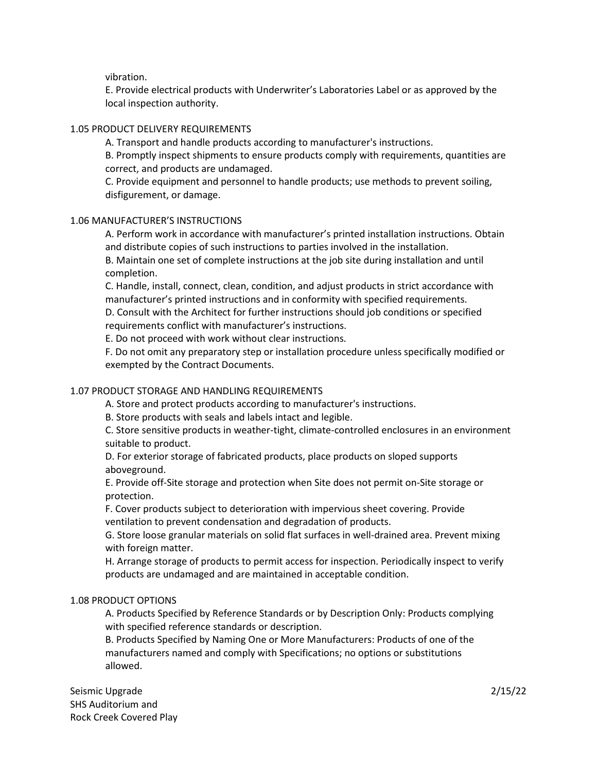vibration.

E. Provide electrical products with Underwriter's Laboratories Label or as approved by the local inspection authority.

### 1.05 PRODUCT DELIVERY REQUIREMENTS

A. Transport and handle products according to manufacturer's instructions.

B. Promptly inspect shipments to ensure products comply with requirements, quantities are correct, and products are undamaged.

C. Provide equipment and personnel to handle products; use methods to prevent soiling, disfigurement, or damage.

### 1.06 MANUFACTURER'S INSTRUCTIONS

A. Perform work in accordance with manufacturer's printed installation instructions. Obtain and distribute copies of such instructions to parties involved in the installation. B. Maintain one set of complete instructions at the job site during installation and until

completion.

C. Handle, install, connect, clean, condition, and adjust products in strict accordance with manufacturer's printed instructions and in conformity with specified requirements.

D. Consult with the Architect for further instructions should job conditions or specified requirements conflict with manufacturer's instructions.

E. Do not proceed with work without clear instructions.

F. Do not omit any preparatory step or installation procedure unless specifically modified or exempted by the Contract Documents.

# 1.07 PRODUCT STORAGE AND HANDLING REQUIREMENTS

A. Store and protect products according to manufacturer's instructions.

B. Store products with seals and labels intact and legible.

C. Store sensitive products in weather-tight, climate-controlled enclosures in an environment suitable to product.

D. For exterior storage of fabricated products, place products on sloped supports aboveground.

E. Provide off-Site storage and protection when Site does not permit on-Site storage or protection.

F. Cover products subject to deterioration with impervious sheet covering. Provide ventilation to prevent condensation and degradation of products.

G. Store loose granular materials on solid flat surfaces in well-drained area. Prevent mixing with foreign matter.

H. Arrange storage of products to permit access for inspection. Periodically inspect to verify products are undamaged and are maintained in acceptable condition.

# 1.08 PRODUCT OPTIONS

A. Products Specified by Reference Standards or by Description Only: Products complying with specified reference standards or description.

B. Products Specified by Naming One or More Manufacturers: Products of one of the manufacturers named and comply with Specifications; no options or substitutions allowed.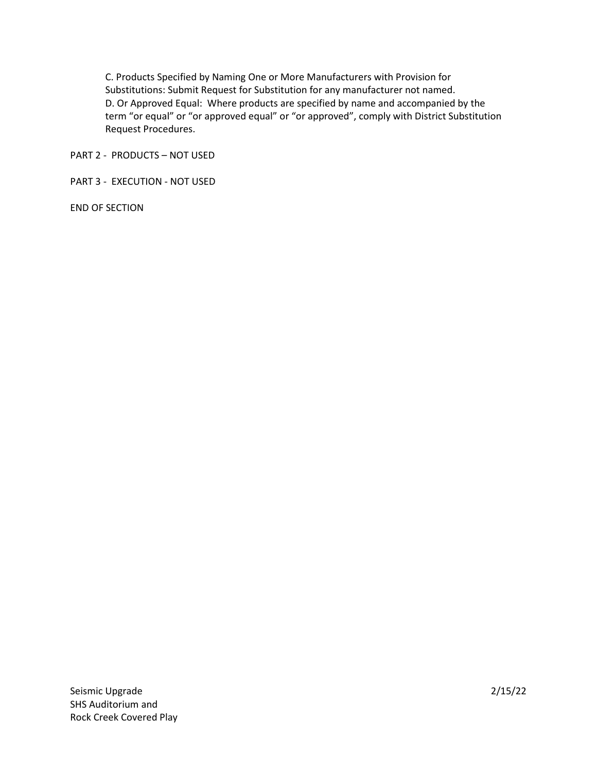C. Products Specified by Naming One or More Manufacturers with Provision for Substitutions: Submit Request for Substitution for any manufacturer not named. D. Or Approved Equal: Where products are specified by name and accompanied by the term "or equal" or "or approved equal" or "or approved", comply with District Substitution Request Procedures.

PART 2 - PRODUCTS – NOT USED

PART 3 - EXECUTION - NOT USED

END OF SECTION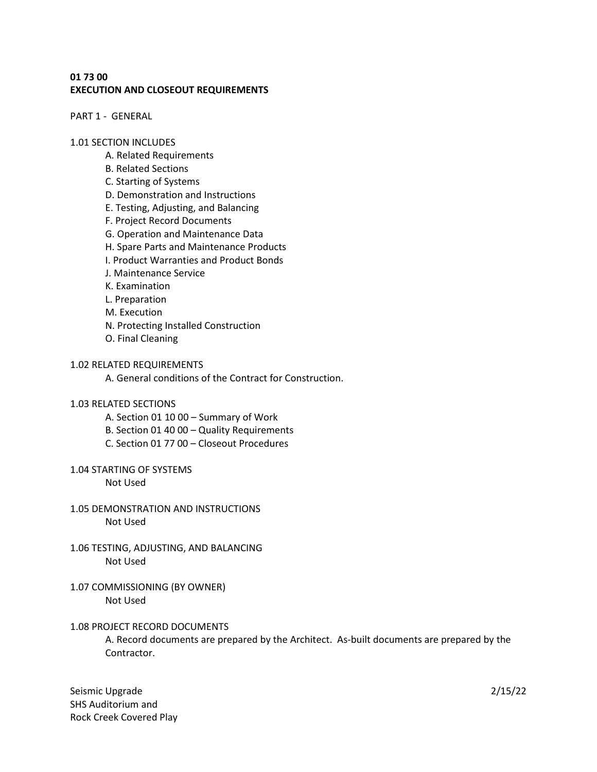# **01 73 00 EXECUTION AND CLOSEOUT REQUIREMENTS**

PART 1 - GENERAL

#### 1.01 SECTION INCLUDES

- A. Related Requirements
- B. Related Sections
- C. Starting of Systems
- D. Demonstration and Instructions
- E. Testing, Adjusting, and Balancing
- F. Project Record Documents
- G. Operation and Maintenance Data
- H. Spare Parts and Maintenance Products
- I. Product Warranties and Product Bonds
- J. Maintenance Service
- K. Examination
- L. Preparation
- M. Execution
- N. Protecting Installed Construction
- O. Final Cleaning

### 1.02 RELATED REQUIREMENTS

A. General conditions of the Contract for Construction.

#### 1.03 RELATED SECTIONS

- A. Section 01 10 00 Summary of Work
- B. Section 01 40 00 Quality Requirements
- C. Section 01 77 00 Closeout Procedures

#### 1.04 STARTING OF SYSTEMS

Not Used

- 1.05 DEMONSTRATION AND INSTRUCTIONS Not Used
- 1.06 TESTING, ADJUSTING, AND BALANCING Not Used
- 1.07 COMMISSIONING (BY OWNER) Not Used

### 1.08 PROJECT RECORD DOCUMENTS

A. Record documents are prepared by the Architect. As-built documents are prepared by the Contractor.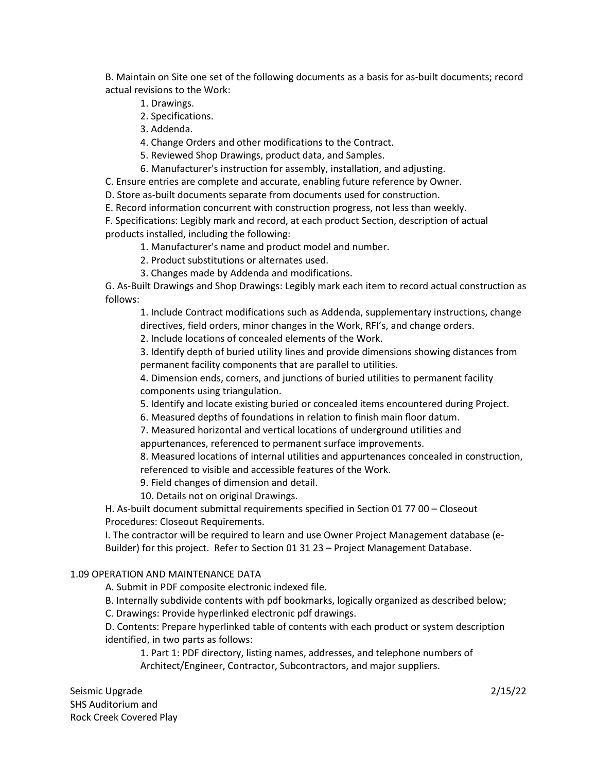B. Maintain on Site one set of the following documents as a basis for as-built documents; record actual revisions to the Work:

- 1. Drawings.
- 2. Specifications.
- 3. Addenda.

4. Change Orders and other modifications to the Contract.

- 5. Reviewed Shop Drawings, product data, and Samples.
- 6. Manufacturer's instruction for assembly, installation, and adjusting.

C. Ensure entries are complete and accurate, enabling future reference by Owner.

D. Store as-built documents separate from documents used for construction.

E. Record information concurrent with construction progress, not less than weekly.

F. Specifications: Legibly mark and record, at each product Section, description of actual products installed, including the following:

- 1. Manufacturer's name and product model and number.
- 2. Product substitutions or alternates used.
- 3. Changes made by Addenda and modifications.

G. As-Built Drawings and Shop Drawings: Legibly mark each item to record actual construction as follows:

1. Include Contract modifications such as Addenda, supplementary instructions, change directives, field orders, minor changes in the Work, RFI's, and change orders.

2. Include locations of concealed elements of the Work.

3. Identify depth of buried utility lines and provide dimensions showing distances from permanent facility components that are parallel to utilities.

4. Dimension ends, corners, and junctions of buried utilities to permanent facility components using triangulation.

5. Identify and locate existing buried or concealed items encountered during Project.

6. Measured depths of foundations in relation to finish main floor datum.

7. Measured horizontal and vertical locations of underground utilities and appurtenances, referenced to permanent surface improvements.

8. Measured locations of internal utilities and appurtenances concealed in construction, referenced to visible and accessible features of the Work.

9. Field changes of dimension and detail.

10. Details not on original Drawings.

H. As-built document submittal requirements specified in Section 01 77 00 – Closeout Procedures: Closeout Requirements.

I. The contractor will be required to learn and use Owner Project Management database (e-Builder) for this project. Refer to Section 01 31 23 – Project Management Database.

### 1.09 OPERATION AND MAINTENANCE DATA

A. Submit in PDF composite electronic indexed file.

B. Internally subdivide contents with pdf bookmarks, logically organized as described below;

C. Drawings: Provide hyperlinked electronic pdf drawings.

D. Contents: Prepare hyperlinked table of contents with each product or system description identified, in two parts as follows:

1. Part 1: PDF directory, listing names, addresses, and telephone numbers of Architect/Engineer, Contractor, Subcontractors, and major suppliers.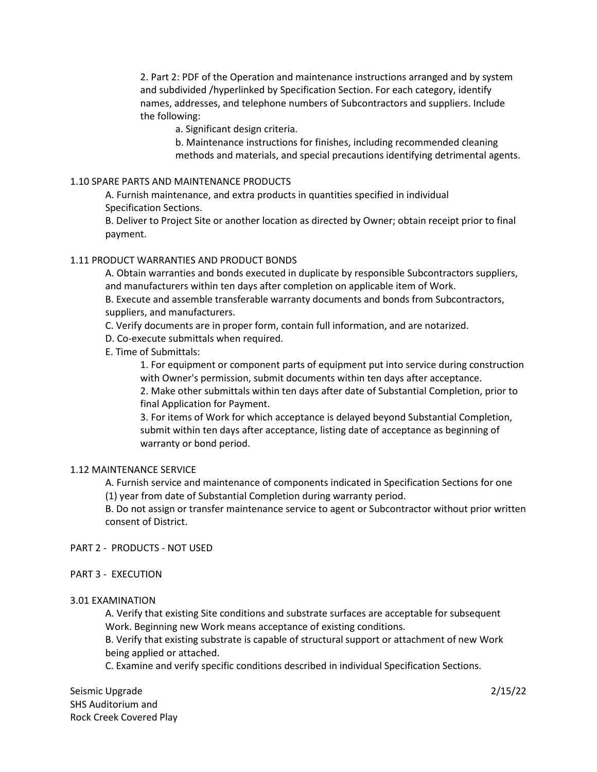2. Part 2: PDF of the Operation and maintenance instructions arranged and by system and subdivided /hyperlinked by Specification Section. For each category, identify names, addresses, and telephone numbers of Subcontractors and suppliers. Include the following:

a. Significant design criteria.

b. Maintenance instructions for finishes, including recommended cleaning methods and materials, and special precautions identifying detrimental agents.

### 1.10 SPARE PARTS AND MAINTENANCE PRODUCTS

A. Furnish maintenance, and extra products in quantities specified in individual Specification Sections.

B. Deliver to Project Site or another location as directed by Owner; obtain receipt prior to final payment.

### 1.11 PRODUCT WARRANTIES AND PRODUCT BONDS

A. Obtain warranties and bonds executed in duplicate by responsible Subcontractors suppliers, and manufacturers within ten days after completion on applicable item of Work.

B. Execute and assemble transferable warranty documents and bonds from Subcontractors, suppliers, and manufacturers.

- C. Verify documents are in proper form, contain full information, and are notarized.
- D. Co-execute submittals when required.
- E. Time of Submittals:

1. For equipment or component parts of equipment put into service during construction with Owner's permission, submit documents within ten days after acceptance.

2. Make other submittals within ten days after date of Substantial Completion, prior to final Application for Payment.

3. For items of Work for which acceptance is delayed beyond Substantial Completion, submit within ten days after acceptance, listing date of acceptance as beginning of warranty or bond period.

# 1.12 MAINTENANCE SERVICE

A. Furnish service and maintenance of components indicated in Specification Sections for one (1) year from date of Substantial Completion during warranty period.

B. Do not assign or transfer maintenance service to agent or Subcontractor without prior written consent of District.

PART 2 - PRODUCTS - NOT USED

PART 3 - EXECUTION

# 3.01 EXAMINATION

A. Verify that existing Site conditions and substrate surfaces are acceptable for subsequent Work. Beginning new Work means acceptance of existing conditions.

B. Verify that existing substrate is capable of structural support or attachment of new Work being applied or attached.

C. Examine and verify specific conditions described in individual Specification Sections.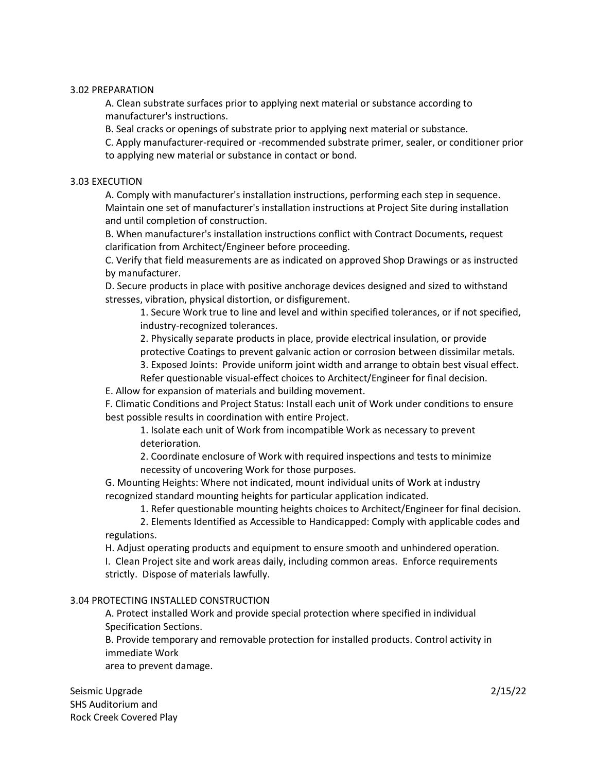### 3.02 PREPARATION

A. Clean substrate surfaces prior to applying next material or substance according to manufacturer's instructions.

B. Seal cracks or openings of substrate prior to applying next material or substance.

C. Apply manufacturer-required or -recommended substrate primer, sealer, or conditioner prior to applying new material or substance in contact or bond.

### 3.03 EXECUTION

A. Comply with manufacturer's installation instructions, performing each step in sequence. Maintain one set of manufacturer's installation instructions at Project Site during installation and until completion of construction.

B. When manufacturer's installation instructions conflict with Contract Documents, request clarification from Architect/Engineer before proceeding.

C. Verify that field measurements are as indicated on approved Shop Drawings or as instructed by manufacturer.

D. Secure products in place with positive anchorage devices designed and sized to withstand stresses, vibration, physical distortion, or disfigurement.

1. Secure Work true to line and level and within specified tolerances, or if not specified, industry-recognized tolerances.

2. Physically separate products in place, provide electrical insulation, or provide

protective Coatings to prevent galvanic action or corrosion between dissimilar metals.

3. Exposed Joints: Provide uniform joint width and arrange to obtain best visual effect.

Refer questionable visual-effect choices to Architect/Engineer for final decision.

E. Allow for expansion of materials and building movement.

F. Climatic Conditions and Project Status: Install each unit of Work under conditions to ensure best possible results in coordination with entire Project.

1. Isolate each unit of Work from incompatible Work as necessary to prevent deterioration.

2. Coordinate enclosure of Work with required inspections and tests to minimize necessity of uncovering Work for those purposes.

G. Mounting Heights: Where not indicated, mount individual units of Work at industry recognized standard mounting heights for particular application indicated.

1. Refer questionable mounting heights choices to Architect/Engineer for final decision.

2. Elements Identified as Accessible to Handicapped: Comply with applicable codes and regulations.

H. Adjust operating products and equipment to ensure smooth and unhindered operation. I. Clean Project site and work areas daily, including common areas. Enforce requirements strictly. Dispose of materials lawfully.

# 3.04 PROTECTING INSTALLED CONSTRUCTION

A. Protect installed Work and provide special protection where specified in individual Specification Sections.

B. Provide temporary and removable protection for installed products. Control activity in immediate Work

area to prevent damage.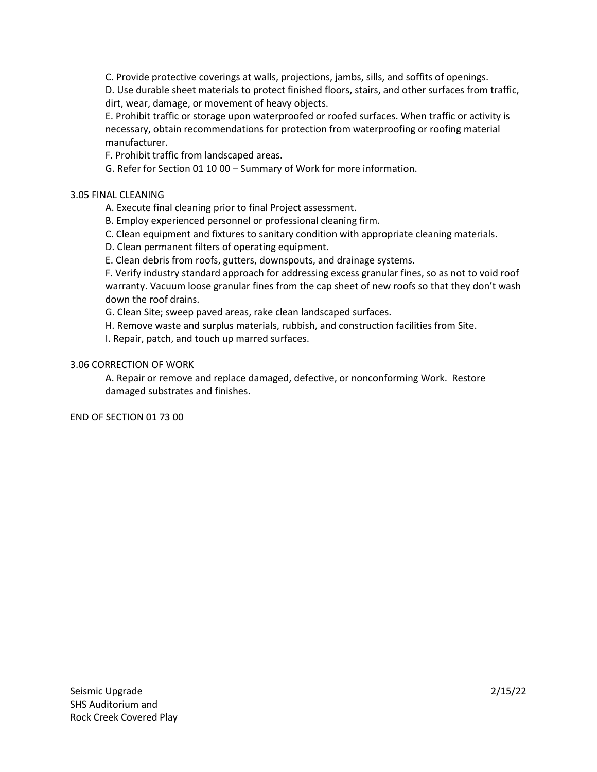C. Provide protective coverings at walls, projections, jambs, sills, and soffits of openings.

D. Use durable sheet materials to protect finished floors, stairs, and other surfaces from traffic, dirt, wear, damage, or movement of heavy objects.

E. Prohibit traffic or storage upon waterproofed or roofed surfaces. When traffic or activity is necessary, obtain recommendations for protection from waterproofing or roofing material manufacturer.

F. Prohibit traffic from landscaped areas.

G. Refer for Section 01 10 00 – Summary of Work for more information.

# 3.05 FINAL CLEANING

A. Execute final cleaning prior to final Project assessment.

B. Employ experienced personnel or professional cleaning firm.

C. Clean equipment and fixtures to sanitary condition with appropriate cleaning materials.

D. Clean permanent filters of operating equipment.

E. Clean debris from roofs, gutters, downspouts, and drainage systems.

F. Verify industry standard approach for addressing excess granular fines, so as not to void roof warranty. Vacuum loose granular fines from the cap sheet of new roofs so that they don't wash down the roof drains.

G. Clean Site; sweep paved areas, rake clean landscaped surfaces.

H. Remove waste and surplus materials, rubbish, and construction facilities from Site.

I. Repair, patch, and touch up marred surfaces.

# 3.06 CORRECTION OF WORK

 A. Repair or remove and replace damaged, defective, or nonconforming Work. Restore damaged substrates and finishes.

END OF SECTION 01 73 00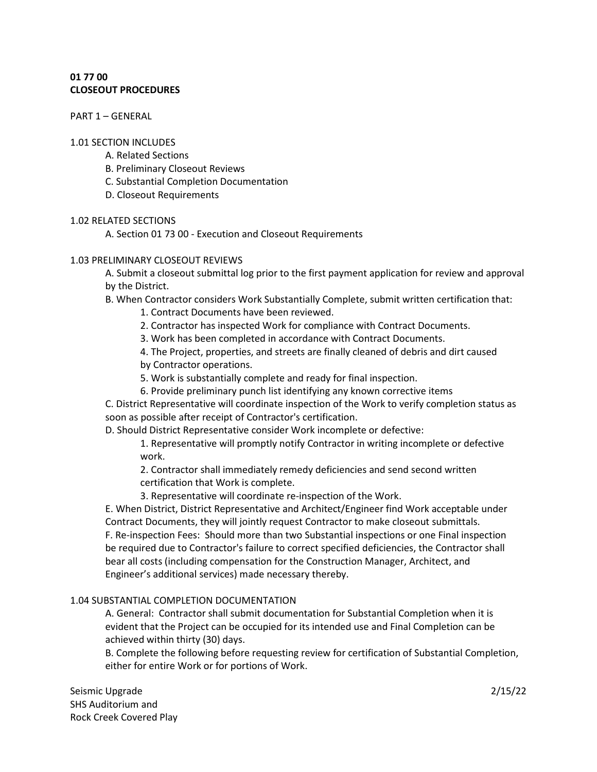# **01 77 00 CLOSEOUT PROCEDURES**

PART 1 – GENERAL

### 1.01 SECTION INCLUDES

- A. Related Sections
- B. Preliminary Closeout Reviews
- C. Substantial Completion Documentation
- D. Closeout Requirements

# 1.02 RELATED SECTIONS

A. Section 01 73 00 - Execution and Closeout Requirements

# 1.03 PRELIMINARY CLOSEOUT REVIEWS

A. Submit a closeout submittal log prior to the first payment application for review and approval by the District.

B. When Contractor considers Work Substantially Complete, submit written certification that:

1. Contract Documents have been reviewed.

2. Contractor has inspected Work for compliance with Contract Documents.

3. Work has been completed in accordance with Contract Documents.

4. The Project, properties, and streets are finally cleaned of debris and dirt caused by Contractor operations.

5. Work is substantially complete and ready for final inspection.

6. Provide preliminary punch list identifying any known corrective items

C. District Representative will coordinate inspection of the Work to verify completion status as soon as possible after receipt of Contractor's certification.

D. Should District Representative consider Work incomplete or defective:

1. Representative will promptly notify Contractor in writing incomplete or defective work.

2. Contractor shall immediately remedy deficiencies and send second written certification that Work is complete.

3. Representative will coordinate re-inspection of the Work.

E. When District, District Representative and Architect/Engineer find Work acceptable under Contract Documents, they will jointly request Contractor to make closeout submittals. F. Re-inspection Fees: Should more than two Substantial inspections or one Final inspection be required due to Contractor's failure to correct specified deficiencies, the Contractor shall bear all costs (including compensation for the Construction Manager, Architect, and Engineer's additional services) made necessary thereby.

# 1.04 SUBSTANTIAL COMPLETION DOCUMENTATION

A. General: Contractor shall submit documentation for Substantial Completion when it is evident that the Project can be occupied for its intended use and Final Completion can be achieved within thirty (30) days.

B. Complete the following before requesting review for certification of Substantial Completion, either for entire Work or for portions of Work.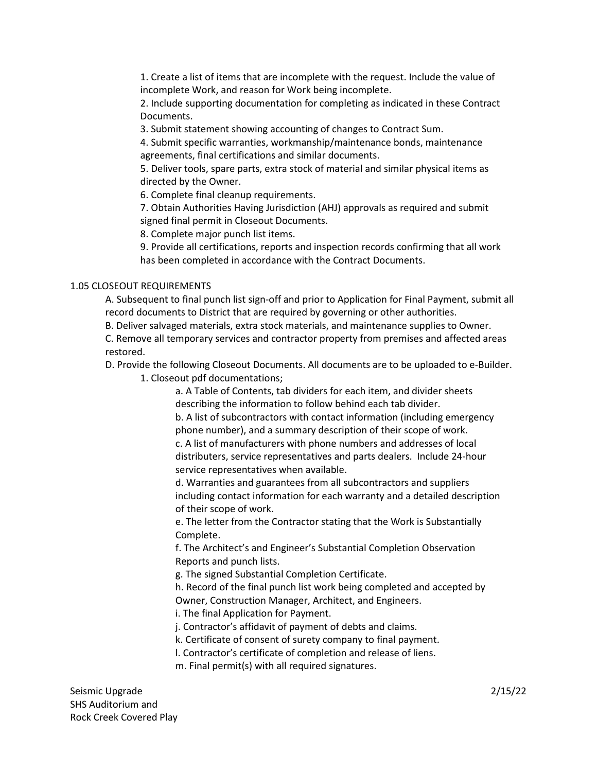1. Create a list of items that are incomplete with the request. Include the value of incomplete Work, and reason for Work being incomplete.

2. Include supporting documentation for completing as indicated in these Contract Documents.

3. Submit statement showing accounting of changes to Contract Sum.

4. Submit specific warranties, workmanship/maintenance bonds, maintenance agreements, final certifications and similar documents.

5. Deliver tools, spare parts, extra stock of material and similar physical items as directed by the Owner.

6. Complete final cleanup requirements.

7. Obtain Authorities Having Jurisdiction (AHJ) approvals as required and submit signed final permit in Closeout Documents.

8. Complete major punch list items.

9. Provide all certifications, reports and inspection records confirming that all work has been completed in accordance with the Contract Documents.

# 1.05 CLOSEOUT REQUIREMENTS

A. Subsequent to final punch list sign-off and prior to Application for Final Payment, submit all record documents to District that are required by governing or other authorities.

B. Deliver salvaged materials, extra stock materials, and maintenance supplies to Owner.

C. Remove all temporary services and contractor property from premises and affected areas restored.

D. Provide the following Closeout Documents. All documents are to be uploaded to e-Builder.

1. Closeout pdf documentations;

a. A Table of Contents, tab dividers for each item, and divider sheets describing the information to follow behind each tab divider.

b. A list of subcontractors with contact information (including emergency phone number), and a summary description of their scope of work. c. A list of manufacturers with phone numbers and addresses of local distributers, service representatives and parts dealers. Include 24-hour service representatives when available.

d. Warranties and guarantees from all subcontractors and suppliers including contact information for each warranty and a detailed description of their scope of work.

e. The letter from the Contractor stating that the Work is Substantially Complete.

f. The Architect's and Engineer's Substantial Completion Observation Reports and punch lists.

g. The signed Substantial Completion Certificate.

h. Record of the final punch list work being completed and accepted by Owner, Construction Manager, Architect, and Engineers.

i. The final Application for Payment.

j. Contractor's affidavit of payment of debts and claims.

k. Certificate of consent of surety company to final payment.

l. Contractor's certificate of completion and release of liens.

m. Final permit(s) with all required signatures.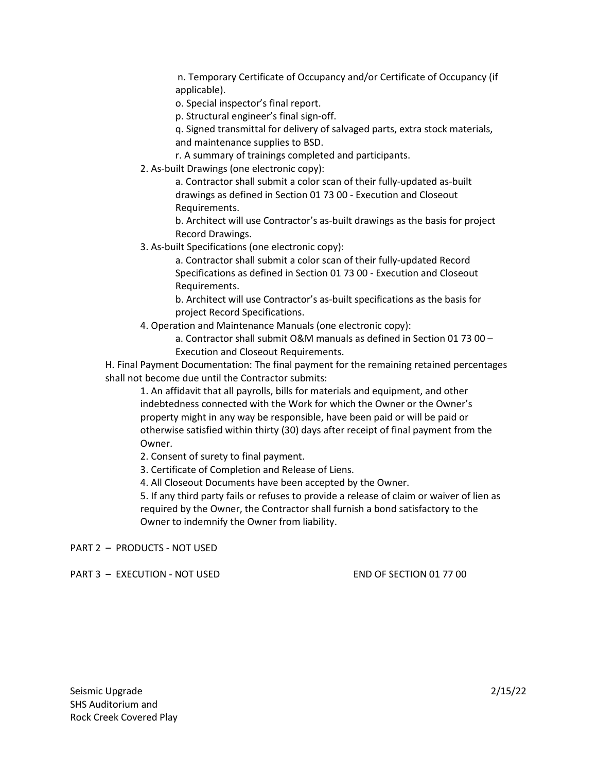n. Temporary Certificate of Occupancy and/or Certificate of Occupancy (if applicable).

o. Special inspector's final report.

p. Structural engineer's final sign-off.

q. Signed transmittal for delivery of salvaged parts, extra stock materials, and maintenance supplies to BSD.

r. A summary of trainings completed and participants.

2. As-built Drawings (one electronic copy):

a. Contractor shall submit a color scan of their fully-updated as-built drawings as defined in Section 01 73 00 - Execution and Closeout Requirements.

b. Architect will use Contractor's as-built drawings as the basis for project Record Drawings.

3. As-built Specifications (one electronic copy):

a. Contractor shall submit a color scan of their fully-updated Record Specifications as defined in Section 01 73 00 - Execution and Closeout Requirements.

b. Architect will use Contractor's as-built specifications as the basis for project Record Specifications.

4. Operation and Maintenance Manuals (one electronic copy):

a. Contractor shall submit O&M manuals as defined in Section 01 73 00 – Execution and Closeout Requirements.

H. Final Payment Documentation: The final payment for the remaining retained percentages shall not become due until the Contractor submits:

1. An affidavit that all payrolls, bills for materials and equipment, and other indebtedness connected with the Work for which the Owner or the Owner's property might in any way be responsible, have been paid or will be paid or otherwise satisfied within thirty (30) days after receipt of final payment from the Owner.

2. Consent of surety to final payment.

3. Certificate of Completion and Release of Liens.

4. All Closeout Documents have been accepted by the Owner.

5. If any third party fails or refuses to provide a release of claim or waiver of lien as required by the Owner, the Contractor shall furnish a bond satisfactory to the Owner to indemnify the Owner from liability.

PART 2 – PRODUCTS - NOT USED

PART 3 - EXECUTION - NOT USED END SECTION 01 77 00